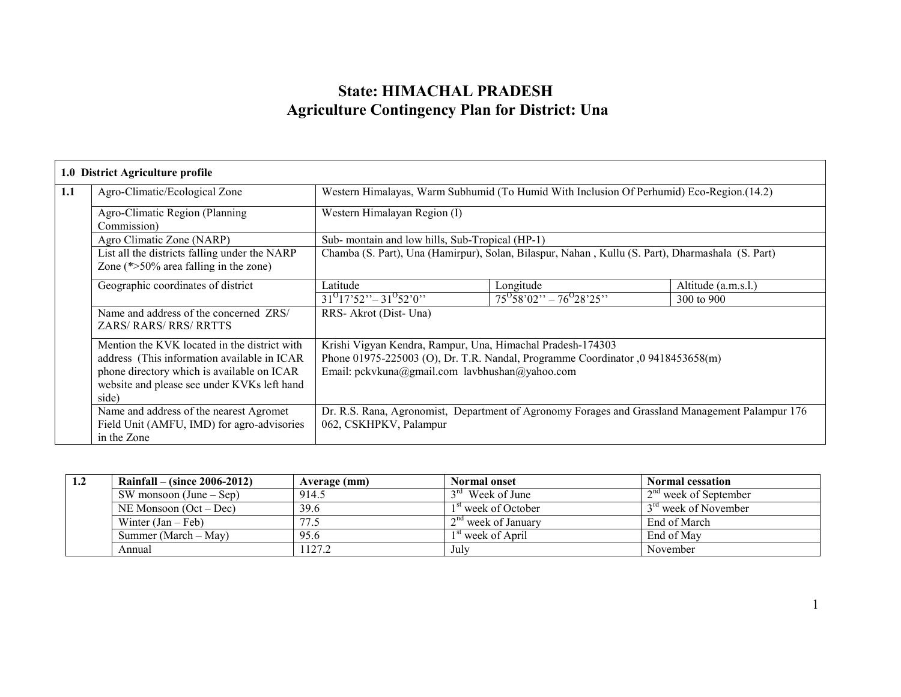# State: HIMACHAL PRADESH Agriculture Contingency Plan for District: Una

Г

|                                                                                                                                   | 1.0 District Agriculture profile                                                                                                                                                                  |                                                                                                                                                                                                 |                                                                                  |                                                                                                 |  |
|-----------------------------------------------------------------------------------------------------------------------------------|---------------------------------------------------------------------------------------------------------------------------------------------------------------------------------------------------|-------------------------------------------------------------------------------------------------------------------------------------------------------------------------------------------------|----------------------------------------------------------------------------------|-------------------------------------------------------------------------------------------------|--|
| 1.1<br>Western Himalayas, Warm Subhumid (To Humid With Inclusion Of Perhumid) Eco-Region. (14.2)<br>Agro-Climatic/Ecological Zone |                                                                                                                                                                                                   |                                                                                                                                                                                                 |                                                                                  |                                                                                                 |  |
|                                                                                                                                   | Agro-Climatic Region (Planning)<br>Commission)                                                                                                                                                    | Western Himalayan Region (I)                                                                                                                                                                    |                                                                                  |                                                                                                 |  |
|                                                                                                                                   | Agro Climatic Zone (NARP)                                                                                                                                                                         | Sub- montain and low hills, Sub-Tropical (HP-1)                                                                                                                                                 |                                                                                  |                                                                                                 |  |
| List all the districts falling under the NARP<br>Zone $(*>50\%$ area falling in the zone)                                         |                                                                                                                                                                                                   | Chamba (S. Part), Una (Hamirpur), Solan, Bilaspur, Nahan, Kullu (S. Part), Dharmashala (S. Part)                                                                                                |                                                                                  |                                                                                                 |  |
|                                                                                                                                   | Geographic coordinates of district                                                                                                                                                                | Latitude                                                                                                                                                                                        | Longitude                                                                        | Altitude (a.m.s.l.)                                                                             |  |
|                                                                                                                                   |                                                                                                                                                                                                   | $31^017^{\prime}52^{\prime\prime} - 31^052^{\prime}0^{\prime\prime}$                                                                                                                            | $75^{\circ}58^{\circ}02^{\prime\prime} - 76^{\circ}28^{\prime}25^{\prime\prime}$ | 300 to 900                                                                                      |  |
|                                                                                                                                   | Name and address of the concerned ZRS/<br><b>ZARS/ RARS/ RRS/ RRTTS</b>                                                                                                                           | RRS-Akrot (Dist-Una)                                                                                                                                                                            |                                                                                  |                                                                                                 |  |
|                                                                                                                                   | Mention the KVK located in the district with<br>address (This information available in ICAR<br>phone directory which is available on ICAR<br>website and please see under KVKs left hand<br>side) | Krishi Vigyan Kendra, Rampur, Una, Himachal Pradesh-174303<br>Phone 01975-225003 (O), Dr. T.R. Nandal, Programme Coordinator ,0 9418453658(m)<br>Email: pckvkuna@gmail.com lavbhushan@yahoo.com |                                                                                  |                                                                                                 |  |
| Name and address of the nearest Agromet<br>Field Unit (AMFU, IMD) for agro-advisories<br>in the Zone                              |                                                                                                                                                                                                   | 062, CSKHPKV, Palampur                                                                                                                                                                          |                                                                                  | Dr. R.S. Rana, Agronomist, Department of Agronomy Forages and Grassland Management Palampur 176 |  |

| 1.2 | Rainfall – (since $2006 - 2012$ ) | Average (mm) | <b>Normal onset</b>             | <b>Normal cessation</b>          |
|-----|-----------------------------------|--------------|---------------------------------|----------------------------------|
|     | SW monsoon $(June - Sep)$         | 914.5        | $3rd$ Week of June              | $2nd$ week of September          |
|     | $NE$ Monsoon (Oct – Dec)          | 39.6         | 1 <sup>st</sup> week of October | 3 <sup>rd</sup> week of November |
|     | Winter $(Jan - Feb)$              | 77.5         | $\sim 2^{nd}$ week of January   | End of March                     |
|     | Summer (March – May)              | 95.6         | $1st$ week of April             | End of May                       |
|     | Annual                            | 127.2        | July                            | November                         |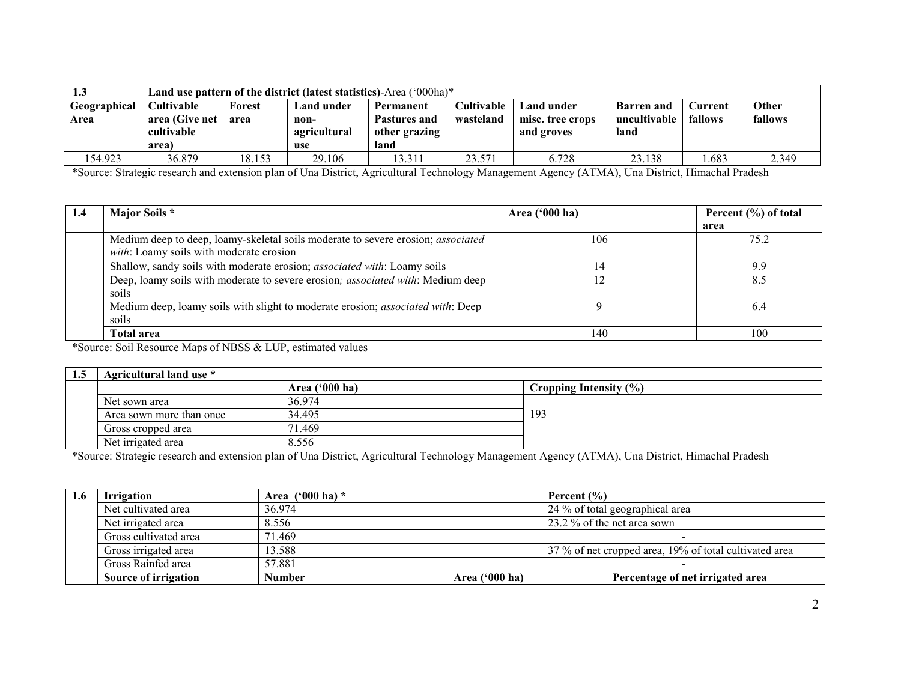| 1.3          |                   | Land use pattern of the district (latest statistics)-Area $(000ha)*$ |              |               |                   |                  |                   |         |         |
|--------------|-------------------|----------------------------------------------------------------------|--------------|---------------|-------------------|------------------|-------------------|---------|---------|
| Geographical | <b>Cultivable</b> | Forest                                                               | Land under   | Permanent     | <b>Cultivable</b> | Land under       | <b>Barren</b> and | Current | Other   |
| Area         | area (Give net    | area                                                                 | non-         | Pastures and  | wasteland         | misc. tree crops | uncultivable      | fallows | fallows |
|              | cultivable        |                                                                      | agricultural | other grazing |                   | and groves       | land              |         |         |
|              | area)             |                                                                      | use          | land          |                   |                  |                   |         |         |
| 154.923      | 36.879            | 18.153                                                               | 29.106       | 13.311        | 23.571            | 6.728            | 23.138            | .683    | 2.349   |

\*Source: Strategic research and extension plan of Una District, Agricultural Technology Management Agency (ATMA), Una District, Himachal Pradesh

| 1.4 | Major Soils *                                                                           | Area ('000 ha) | Percent (%) of total |
|-----|-----------------------------------------------------------------------------------------|----------------|----------------------|
|     |                                                                                         |                | area                 |
|     | Medium deep to deep, loamy-skeletal soils moderate to severe erosion; <i>associated</i> | 106            | 75.2                 |
|     | with: Loamy soils with moderate erosion                                                 |                |                      |
|     | Shallow, sandy soils with moderate erosion; associated with: Loamy soils                |                | 9.9                  |
|     | Deep, loamy soils with moderate to severe erosion; associated with: Medium deep         |                | 8.5                  |
|     | soils                                                                                   |                |                      |
|     | Medium deep, loamy soils with slight to moderate erosion; associated with: Deep         |                | 6.4                  |
|     | soils                                                                                   |                |                      |
|     | <b>Total area</b>                                                                       | 140            | 100                  |

\*Source: Soil Resource Maps of NBSS & LUP, estimated values

| 1.5 | Agricultural land use *  |                  |                        |  |  |
|-----|--------------------------|------------------|------------------------|--|--|
|     |                          | Area $('000 ha)$ | Cropping Intensity (%) |  |  |
|     | Net sown area            | 36.974           |                        |  |  |
|     | Area sown more than once | 34.495           | 193                    |  |  |
|     | Gross cropped area       | .469<br>71       |                        |  |  |
|     | Net irrigated area       | 8.556            |                        |  |  |

\*Source: Strategic research and extension plan of Una District, Agricultural Technology Management Agency (ATMA), Una District, Himachal Pradesh

| 1.6 | <b>Irrigation</b>     | Area $(900 \text{ ha})$ * |                  | Percent $(\% )$                                        |
|-----|-----------------------|---------------------------|------------------|--------------------------------------------------------|
|     | Net cultivated area   | 36.974                    |                  | 24 % of total geographical area                        |
|     | Net irrigated area    | 8.556                     |                  | 23.2 % of the net area sown                            |
|     | Gross cultivated area | 71.469                    |                  |                                                        |
|     | Gross irrigated area  | 13.588                    |                  | 37 % of net cropped area, 19% of total cultivated area |
|     | Gross Rainfed area    | 57.881                    |                  |                                                        |
|     | Source of irrigation  | <b>Number</b>             | Area $('000 ha)$ | Percentage of net irrigated area                       |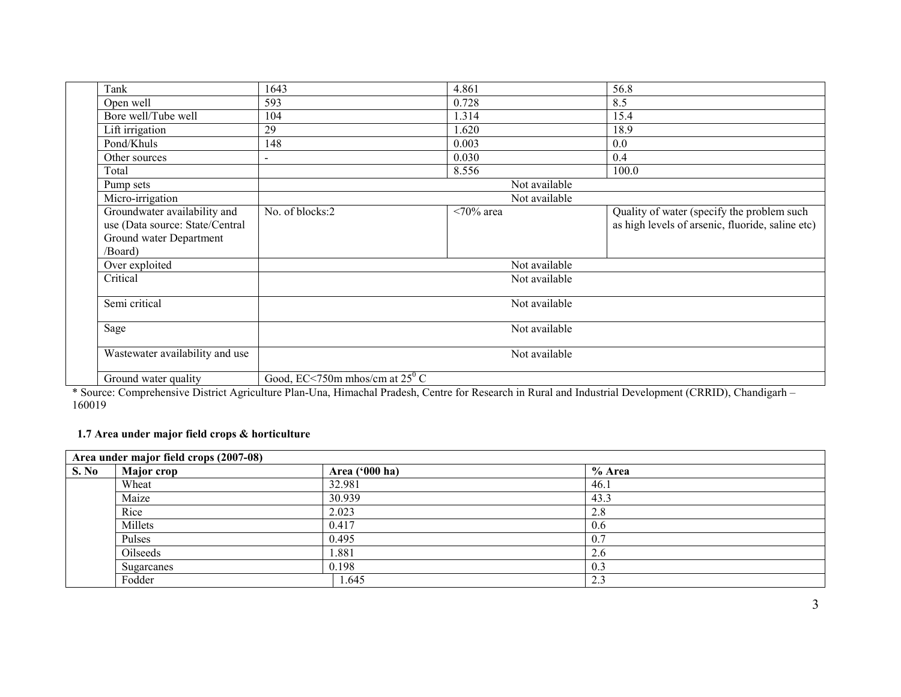| Tank                                                            | 1643                                    | 4.861               | 56.8                                                                                           |
|-----------------------------------------------------------------|-----------------------------------------|---------------------|------------------------------------------------------------------------------------------------|
| Open well                                                       | 593                                     | 0.728               | 8.5                                                                                            |
| Bore well/Tube well                                             | 104                                     | 1.314               | 15.4                                                                                           |
| Lift irrigation                                                 | 29                                      | 1.620               | 18.9                                                                                           |
| Pond/Khuls                                                      | 148                                     | 0.003               | 0.0                                                                                            |
| Other sources                                                   |                                         | 0.030               | 0.4                                                                                            |
| Total                                                           |                                         | 8.556               | 100.0                                                                                          |
| Pump sets                                                       |                                         | Not available       |                                                                                                |
| Micro-irrigation                                                |                                         | Not available       |                                                                                                |
| Groundwater availability and<br>use (Data source: State/Central | No. of blocks:2                         | $\langle 70\%$ area | Quality of water (specify the problem such<br>as high levels of arsenic, fluoride, saline etc) |
| Ground water Department<br>/Board)                              |                                         |                     |                                                                                                |
| Over exploited                                                  |                                         | Not available       |                                                                                                |
| Critical                                                        |                                         | Not available       |                                                                                                |
| Semi critical                                                   |                                         | Not available       |                                                                                                |
| Sage                                                            |                                         | Not available       |                                                                                                |
| Wastewater availability and use                                 |                                         | Not available       |                                                                                                |
| Ground water quality                                            | Good, EC<750m mhos/cm at $25^{\circ}$ C |                     |                                                                                                |

 \* Source: Comprehensive District Agriculture Plan-Una, Himachal Pradesh, Centre for Research in Rural and Industrial Development (CRRID), Chandigarh – 160019

#### 1.7 Area under major field crops & horticulture

|       | Area under major field crops (2007-08) |                |        |  |  |
|-------|----------------------------------------|----------------|--------|--|--|
| S. No | Major crop                             | Area ('000 ha) | % Area |  |  |
|       | Wheat                                  | 32.981         | 46.1   |  |  |
|       | Maize                                  | 30.939         | 43.3   |  |  |
|       | Rice                                   | 2.023          | 2.8    |  |  |
|       | Millets                                | 0.417          | 0.6    |  |  |
|       | Pulses                                 | 0.495          | 0.7    |  |  |
|       | Oilseeds                               | .881           | 2.6    |  |  |
|       | Sugarcanes                             | 0.198          | 0.3    |  |  |
|       | Fodder                                 | .645           | 2.3    |  |  |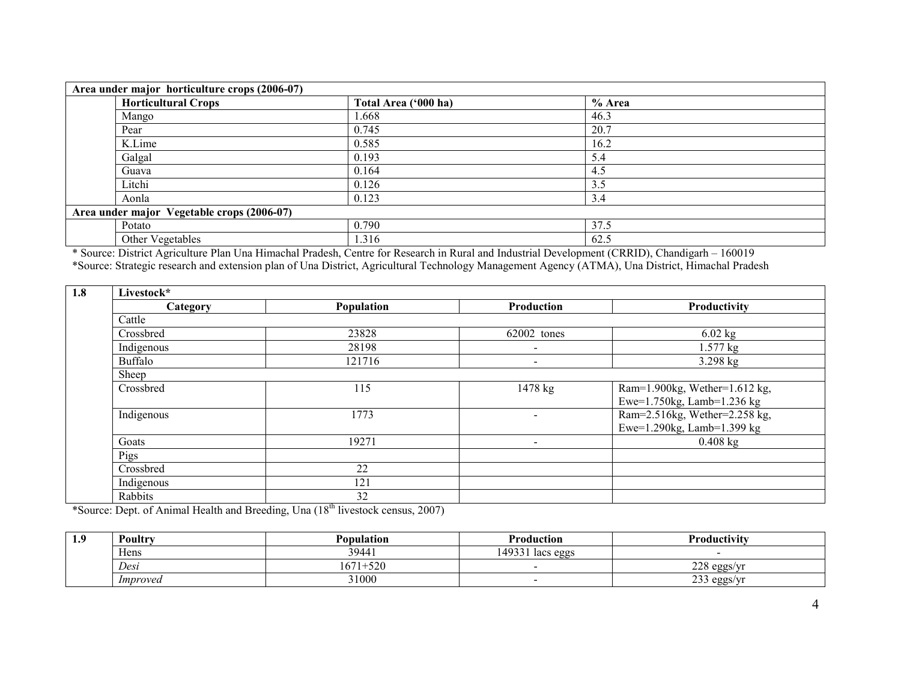| Area under major horticulture crops (2006-07) |                      |        |  |  |
|-----------------------------------------------|----------------------|--------|--|--|
| <b>Horticultural Crops</b>                    | Total Area ('000 ha) | % Area |  |  |
| Mango                                         | 1.668                | 46.3   |  |  |
| Pear                                          | 0.745                | 20.7   |  |  |
| K.Lime                                        | 0.585                | 16.2   |  |  |
| Galgal                                        | 0.193                | 5.4    |  |  |
| Guava                                         | 0.164                | 4.5    |  |  |
| Litchi                                        | 0.126                | 3.5    |  |  |
| Aonla                                         | 0.123                | 3.4    |  |  |
| Area under major Vegetable crops (2006-07)    |                      |        |  |  |
| Potato                                        | 0.790                | 37.5   |  |  |
| Other Vegetables                              | 1.316                | 62.5   |  |  |

\* Source: District Agriculture Plan Una Himachal Pradesh, Centre for Research in Rural and Industrial Development (CRRID), Chandigarh – 160019<br>\*Source: Strategic research and extension plan of Una District, Agricultural Te

| 1.8<br>Livestock* |            |            |                          |                               |  |
|-------------------|------------|------------|--------------------------|-------------------------------|--|
|                   | Category   | Population | <b>Production</b>        | Productivity                  |  |
|                   | Cattle     |            |                          |                               |  |
|                   | Crossbred  | 23828      | 62002 tones              | $6.02$ kg                     |  |
|                   | Indigenous | 28198      | $\blacksquare$           | $1.577$ kg                    |  |
|                   | Buffalo    | 121716     | $\blacksquare$           | $3.298$ kg                    |  |
|                   | Sheep      |            |                          |                               |  |
|                   | Crossbred  | 115        | 1478 kg                  | Ram=1.900kg, Wether=1.612 kg, |  |
|                   |            |            |                          | Ewe=1.750kg, Lamb=1.236 kg    |  |
|                   | Indigenous | 1773       | $\sim$                   | Ram=2.516kg, Wether=2.258 kg, |  |
|                   |            |            |                          | Ewe=1.290kg, Lamb=1.399 kg    |  |
|                   | Goats      | 19271      | $\overline{\phantom{a}}$ | $0.408$ kg                    |  |
|                   | Pigs       |            |                          |                               |  |
|                   | Crossbred  | 22         |                          |                               |  |
|                   | Indigenous | 121        |                          |                               |  |
|                   | Rabbits    | 32         |                          |                               |  |

\*Source: Dept. of Animal Health and Breeding, Una (18th livestock census, 2007)

| 1.9 | Poultry  | <b>Population</b>     | <b>Production</b>        | Productivity                                         |
|-----|----------|-----------------------|--------------------------|------------------------------------------------------|
|     | Hens     | 39441                 | 493311<br>lacs eggs      |                                                      |
|     | Desi     | 671<br>500<br>$1+520$ |                          | 220<br>$\rho$ σσς/ $\eta$<br>المستسلم<br><b>VEET</b> |
|     | Improved | 31000                 | $\overline{\phantom{0}}$ | $\cap$<br>$\rho$ σσς/νη<br>233<br>$C = C$            |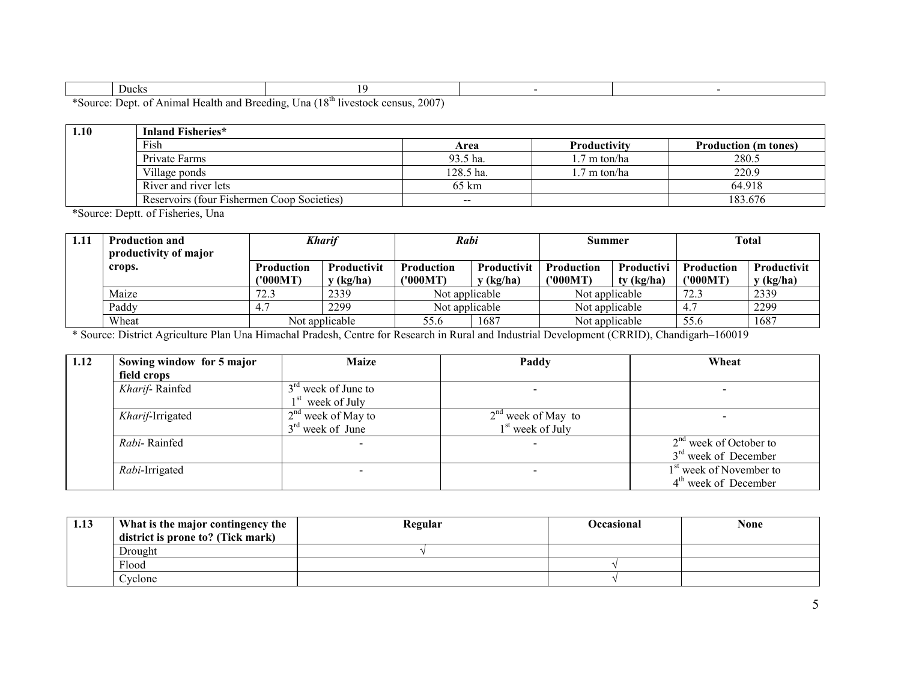| <b>Ducks</b> |  |  |
|--------------|--|--|
|              |  |  |

\*Source: Dept. of Animal Health and Breeding, Una (18th livestock census, 2007)

| 1.10 | Inland Fisheries*                          |                 |                     |                             |
|------|--------------------------------------------|-----------------|---------------------|-----------------------------|
|      | Fish                                       | Area            | <b>Productivity</b> | <b>Production</b> (m tones) |
|      | Private Farms                              | 93.5 ha.        | .7 m ton/ha         | 280.5                       |
|      | Village ponds                              | 128.5 ha.       | .7 m ton/ha         | 220.9                       |
|      | River and river lets                       | $65 \text{ km}$ |                     | 64.918                      |
|      | Reservoirs (four Fishermen Coop Societies) | $\sim$ $\sim$   |                     | 183.676                     |

\*Source: Deptt. of Fisheries, Una

| 1.11 | <b>Production and</b><br>productivity of major | <b>Kharif</b> |                | Rabi              |                    | Summer            |                   | Total             |                    |
|------|------------------------------------------------|---------------|----------------|-------------------|--------------------|-------------------|-------------------|-------------------|--------------------|
|      | crops.                                         | Production    | Productivit    | <b>Production</b> | <b>Productivit</b> | <b>Production</b> | <b>Productivi</b> | <b>Production</b> | <b>Productivit</b> |
|      |                                                | ('000MT)      | (kg/ha)        | ('000MT)          | y (kg/ha)          | ('000MT)          | ty (kg/ha)        | ('000MT)          | y (kg/ha)          |
|      | Maize                                          | 72.3          | 2339           | Not applicable    |                    | Not applicable    |                   | 72.3              | 2339               |
|      | Paddy                                          | 4.7           | 2299           | Not applicable    |                    | Not applicable    |                   |                   | 2299               |
|      | Wheat                                          |               | Not applicable | 55.6              | 1687               | Not applicable    |                   | 55.6              | 1687               |

\* Source: District Agriculture Plan Una Himachal Pradesh, Centre for Research in Rural and Industrial Development (CRRID), Chandigarh–160019

| 1.12 | Sowing window for 5 major | <b>Maize</b>          | Paddy                        | Wheat                               |
|------|---------------------------|-----------------------|------------------------------|-------------------------------------|
|      | field crops               |                       |                              |                                     |
|      | Kharif-Rainfed            | $3rd$ week of June to | $\overline{\phantom{0}}$     | -                                   |
|      |                           | $1st$ week of July    |                              |                                     |
|      | Kharif-Irrigated          | $2nd$ week of May to  | $2nd$ week of May to         | -                                   |
|      |                           | $3rd$ week of June    | 1 <sup>st</sup> week of July |                                     |
|      | Rahi-Rainfed              |                       | $\overline{\phantom{0}}$     | $2nd$ week of October to            |
|      |                           |                       |                              | 3 <sup>rd</sup> week of December    |
|      | Rabi-Irrigated            | -                     |                              | 1 <sup>st</sup> week of November to |
|      |                           |                       |                              | $4th$ week of December              |

| 1.13 | What is the major contingency the | Regular | Occasional | None |
|------|-----------------------------------|---------|------------|------|
|      | district is prone to? (Tick mark) |         |            |      |
|      | Drought                           |         |            |      |
|      | Flood                             |         |            |      |
|      | Cyclone                           |         |            |      |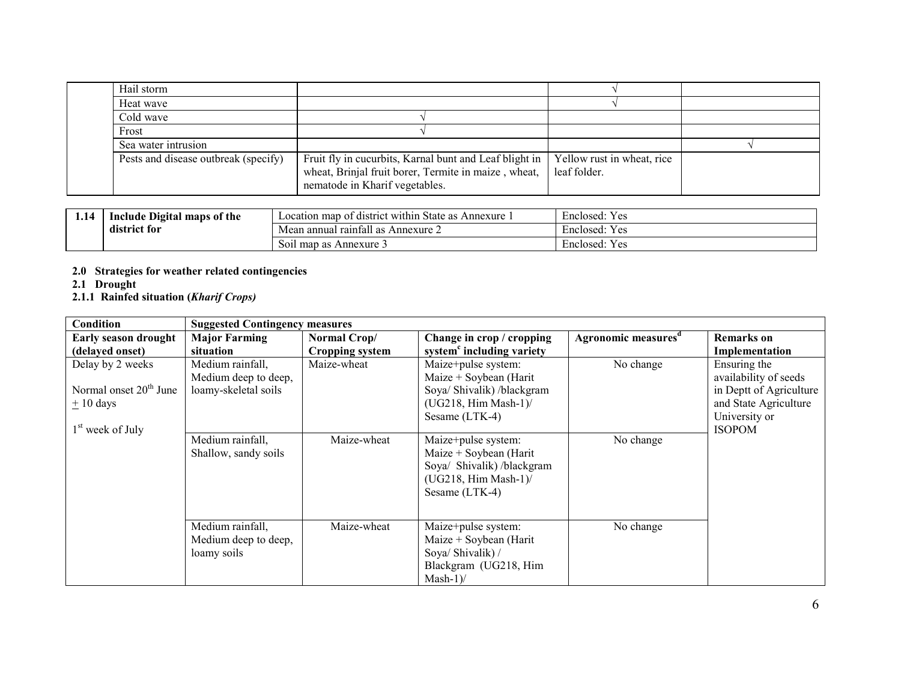| Hail storm                           |                                                                                                                                                  |                                            |  |
|--------------------------------------|--------------------------------------------------------------------------------------------------------------------------------------------------|--------------------------------------------|--|
| Heat wave                            |                                                                                                                                                  |                                            |  |
| Cold wave                            |                                                                                                                                                  |                                            |  |
| Frost                                |                                                                                                                                                  |                                            |  |
| Sea water intrusion                  |                                                                                                                                                  |                                            |  |
| Pests and disease outbreak (specify) | Fruit fly in cucurbits, Karnal bunt and Leaf blight in<br>wheat, Brinjal fruit borer, Termite in maize, wheat,<br>nematode in Kharif vegetables. | Yellow rust in wheat, rice<br>leaf folder. |  |

| 1.14                     | <b>Include Digital</b><br>l maps of the | of district within State as<br>Annexure<br>Location map | $\rightarrow$<br>Enclosed:<br>es |
|--------------------------|-----------------------------------------|---------------------------------------------------------|----------------------------------|
| $\cdots$<br>district for |                                         | l raintall as .<br>Mean annual<br>Annexure 2            | Enclosed.<br>es                  |
|                          |                                         | l map as Annexure 3<br>SOII                             | Enclosed<br>es                   |

# 2.0 Strategies for weather related contingencies 2.1 Drought

- 
- 2.1.1 Rainfed situation (Kharif Crops)

| Condition                                                                           | <b>Suggested Contingency measures</b>                            |                        |                                                                                                                        |                                 |                                                                                                                             |
|-------------------------------------------------------------------------------------|------------------------------------------------------------------|------------------------|------------------------------------------------------------------------------------------------------------------------|---------------------------------|-----------------------------------------------------------------------------------------------------------------------------|
| Early season drought                                                                | <b>Major Farming</b>                                             | Normal Crop/           | Change in crop / cropping                                                                                              | Agronomic measures <sup>d</sup> | <b>Remarks</b> on                                                                                                           |
| (delayed onset)                                                                     | situation                                                        | <b>Cropping system</b> | system <sup>c</sup> including variety                                                                                  |                                 | Implementation                                                                                                              |
| Delay by 2 weeks<br>Normal onset $20th$ June<br>$\pm 10$ days<br>$1st$ week of July | Medium rainfall,<br>Medium deep to deep,<br>loamy-skeletal soils | Maize-wheat            | Maize+pulse system:<br>Maize + Soybean (Harit<br>Soya/ Shivalik) /blackgram<br>$(UG218, Him Mash-1)$<br>Sesame (LTK-4) | No change                       | Ensuring the<br>availability of seeds<br>in Deptt of Agriculture<br>and State Agriculture<br>University or<br><b>ISOPOM</b> |
|                                                                                     | Medium rainfall,<br>Shallow, sandy soils                         | Maize-wheat            | Maize+pulse system:<br>Maize + Soybean (Harit<br>Soya/ Shivalik) /blackgram<br>$(UG218, Him Mash-1)$<br>Sesame (LTK-4) | No change                       |                                                                                                                             |
|                                                                                     | Medium rainfall,<br>Medium deep to deep,<br>loamy soils          | Maize-wheat            | Maize+pulse system:<br>Maize + Soybean (Harit<br>Soya/ Shivalik) /<br>Blackgram (UG218, Him<br>$Mask-1$                | No change                       |                                                                                                                             |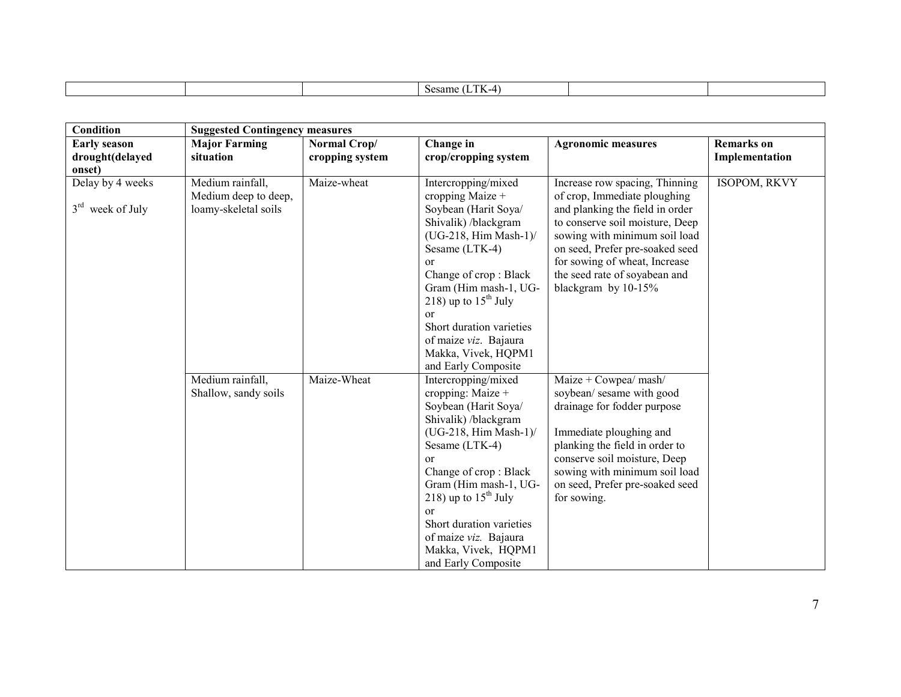|  | ' ' ' '<br>$\alpha$ |  |
|--|---------------------|--|
|  |                     |  |

| Condition           | <b>Suggested Contingency measures</b> |                 |                                          |                                                                  |                   |
|---------------------|---------------------------------------|-----------------|------------------------------------------|------------------------------------------------------------------|-------------------|
| <b>Early season</b> | <b>Major Farming</b>                  | Normal Crop/    | Change in                                | <b>Agronomic measures</b>                                        | <b>Remarks</b> on |
| drought(delayed     | situation                             | cropping system | crop/cropping system                     |                                                                  | Implementation    |
| onset)              |                                       |                 |                                          |                                                                  |                   |
| Delay by 4 weeks    | Medium rainfall,                      | Maize-wheat     | Intercropping/mixed                      | Increase row spacing, Thinning                                   | ISOPOM, RKVY      |
|                     | Medium deep to deep,                  |                 | cropping Maize +                         | of crop, Immediate ploughing                                     |                   |
| $3rd$ week of July  | loamy-skeletal soils                  |                 | Soybean (Harit Soya/                     | and planking the field in order                                  |                   |
|                     |                                       |                 | Shivalik) /blackgram                     | to conserve soil moisture, Deep                                  |                   |
|                     |                                       |                 | $(UG-218, Him Mash-1)$                   | sowing with minimum soil load<br>on seed, Prefer pre-soaked seed |                   |
|                     |                                       |                 | Sesame (LTK-4)<br>$\alpha$               | for sowing of wheat, Increase                                    |                   |
|                     |                                       |                 | Change of crop: Black                    | the seed rate of soyabean and                                    |                   |
|                     |                                       |                 | Gram (Him mash-1, UG-                    | blackgram by 10-15%                                              |                   |
|                     |                                       |                 | 218) up to $15^{\text{th}}$ July         |                                                                  |                   |
|                     |                                       |                 | $\alpha$                                 |                                                                  |                   |
|                     |                                       |                 | Short duration varieties                 |                                                                  |                   |
|                     |                                       |                 | of maize viz. Bajaura                    |                                                                  |                   |
|                     |                                       |                 | Makka, Vivek, HQPM1                      |                                                                  |                   |
|                     |                                       |                 | and Early Composite                      |                                                                  |                   |
|                     | Medium rainfall,                      | Maize-Wheat     | Intercropping/mixed                      | Maize + Cowpea/ $mash/$                                          |                   |
|                     | Shallow, sandy soils                  |                 | cropping: Maize +                        | soybean/ sesame with good                                        |                   |
|                     |                                       |                 | Soybean (Harit Soya/                     | drainage for fodder purpose                                      |                   |
|                     |                                       |                 | Shivalik) /blackgram                     |                                                                  |                   |
|                     |                                       |                 | $(UG-218, Him Mash-1)$<br>Sesame (LTK-4) | Immediate ploughing and<br>planking the field in order to        |                   |
|                     |                                       |                 | <sub>or</sub>                            | conserve soil moisture, Deep                                     |                   |
|                     |                                       |                 | Change of crop: Black                    | sowing with minimum soil load                                    |                   |
|                     |                                       |                 | Gram (Him mash-1, UG-                    | on seed, Prefer pre-soaked seed                                  |                   |
|                     |                                       |                 | 218) up to $15th$ July                   | for sowing.                                                      |                   |
|                     |                                       |                 | <sub>or</sub>                            |                                                                  |                   |
|                     |                                       |                 | Short duration varieties                 |                                                                  |                   |
|                     |                                       |                 | of maize viz. Bajaura                    |                                                                  |                   |
|                     |                                       |                 | Makka, Vivek, HQPM1                      |                                                                  |                   |
|                     |                                       |                 | and Early Composite                      |                                                                  |                   |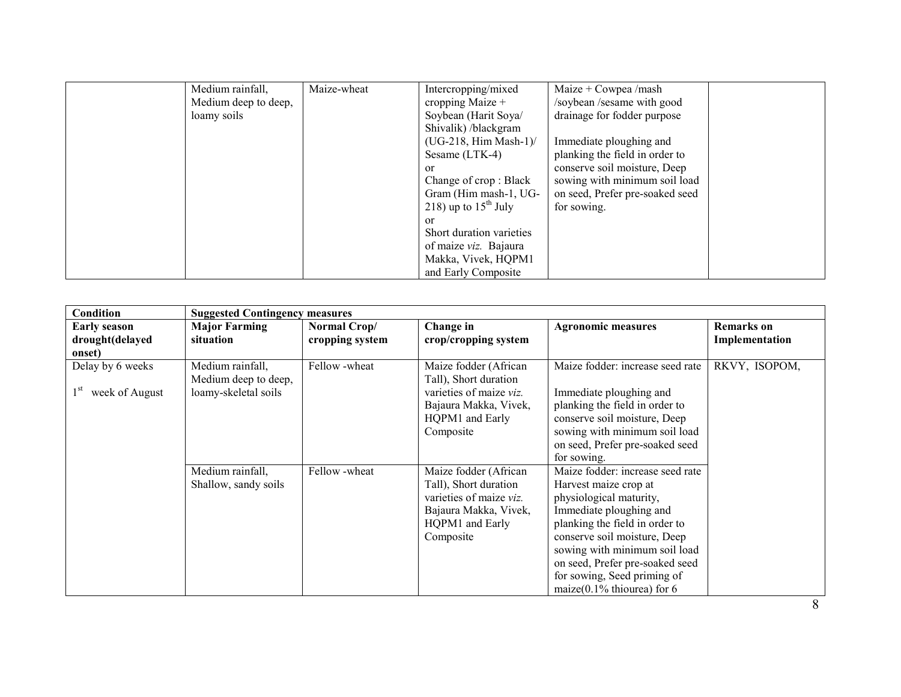| Medium rainfall,     | Maize-wheat | Intercropping/mixed              | Maize + Cowpea /mash            |  |
|----------------------|-------------|----------------------------------|---------------------------------|--|
| Medium deep to deep, |             | cropping Maize $+$               | /soybean /sesame with good      |  |
| loamy soils          |             | Soybean (Harit Soya/             | drainage for fodder purpose     |  |
|                      |             | Shivalik) /blackgram             |                                 |  |
|                      |             | $(UG-218, Him Mash-1)$           | Immediate ploughing and         |  |
|                      |             | Sesame $(LTK-4)$                 | planking the field in order to  |  |
|                      |             | <sub>or</sub>                    | conserve soil moisture, Deep    |  |
|                      |             | Change of crop: Black            | sowing with minimum soil load   |  |
|                      |             | Gram (Him mash-1, UG-            | on seed, Prefer pre-soaked seed |  |
|                      |             | 218) up to $15^{\text{th}}$ July | for sowing.                     |  |
|                      |             | $\alpha$                         |                                 |  |
|                      |             | Short duration varieties         |                                 |  |
|                      |             | of maize viz. Bajaura            |                                 |  |
|                      |             | Makka, Vivek, HQPM1              |                                 |  |
|                      |             | and Early Composite              |                                 |  |

| Condition                                             | <b>Suggested Contingency measures</b>                            |                                 |                                                                                                                                    |                                                                                                                                                                                                                                                                                                                        |                                     |
|-------------------------------------------------------|------------------------------------------------------------------|---------------------------------|------------------------------------------------------------------------------------------------------------------------------------|------------------------------------------------------------------------------------------------------------------------------------------------------------------------------------------------------------------------------------------------------------------------------------------------------------------------|-------------------------------------|
| <b>Early season</b><br>drought(delayed<br>onset)      | <b>Major Farming</b><br>situation                                | Normal Crop/<br>cropping system | Change in<br>crop/cropping system                                                                                                  | <b>Agronomic measures</b>                                                                                                                                                                                                                                                                                              | <b>Remarks</b> on<br>Implementation |
| Delay by 6 weeks<br>1 <sup>st</sup><br>week of August | Medium rainfall,<br>Medium deep to deep,<br>loamy-skeletal soils | Fellow -wheat                   | Maize fodder (African<br>Tall), Short duration<br>varieties of maize viz.<br>Bajaura Makka, Vivek,<br>HQPM1 and Early<br>Composite | Maize fodder: increase seed rate<br>Immediate ploughing and<br>planking the field in order to<br>conserve soil moisture, Deep<br>sowing with minimum soil load<br>on seed, Prefer pre-soaked seed<br>for sowing.                                                                                                       | RKVY, ISOPOM,                       |
|                                                       | Medium rainfall,<br>Shallow, sandy soils                         | Fellow-wheat                    | Maize fodder (African<br>Tall), Short duration<br>varieties of maize viz.<br>Bajaura Makka, Vivek,<br>HQPM1 and Early<br>Composite | Maize fodder: increase seed rate<br>Harvest maize crop at<br>physiological maturity,<br>Immediate ploughing and<br>planking the field in order to<br>conserve soil moisture, Deep<br>sowing with minimum soil load<br>on seed, Prefer pre-soaked seed<br>for sowing, Seed priming of<br>maize $(0.1\%$ thiourea) for 6 |                                     |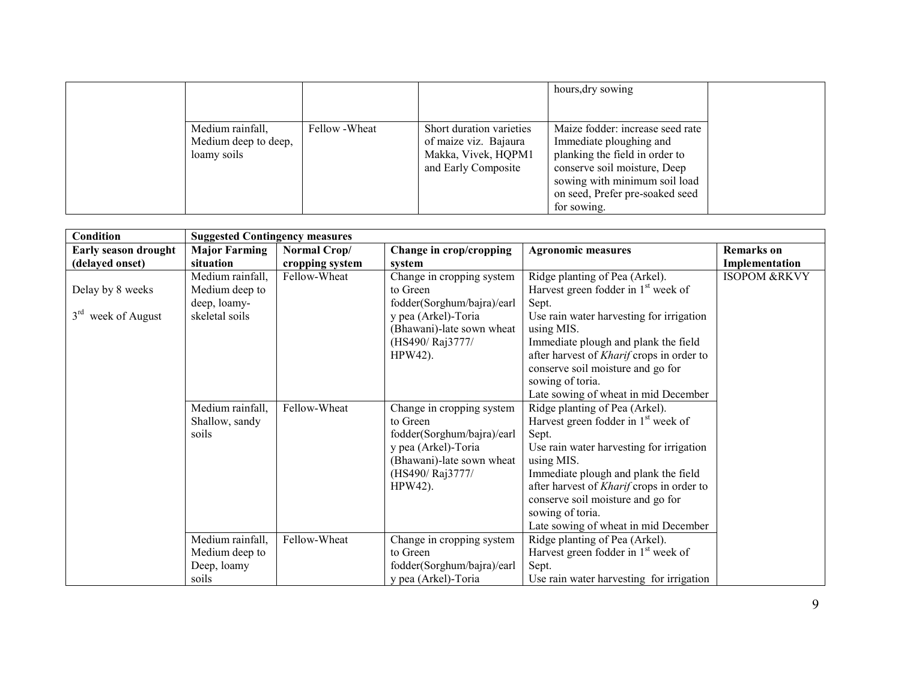|                                                         |                |                                                                                                 | hours, dry sowing                                                                                                                                                                                                |  |
|---------------------------------------------------------|----------------|-------------------------------------------------------------------------------------------------|------------------------------------------------------------------------------------------------------------------------------------------------------------------------------------------------------------------|--|
| Medium rainfall,<br>Medium deep to deep,<br>loamy soils | Fellow - Wheat | Short duration varieties<br>of maize viz. Bajaura<br>Makka, Vivek, HQPM1<br>and Early Composite | Maize fodder: increase seed rate<br>Immediate ploughing and<br>planking the field in order to<br>conserve soil moisture, Deep<br>sowing with minimum soil load<br>on seed, Prefer pre-soaked seed<br>for sowing. |  |

| <b>Condition</b>               | <b>Suggested Contingency measures</b> |                 |                            |                                                  |                         |
|--------------------------------|---------------------------------------|-----------------|----------------------------|--------------------------------------------------|-------------------------|
| Early season drought           | <b>Major Farming</b>                  | Normal Crop/    | Change in crop/cropping    | <b>Agronomic measures</b>                        | <b>Remarks</b> on       |
| (delayed onset)                | situation                             | cropping system | system                     |                                                  | Implementation          |
|                                | Medium rainfall,                      | Fellow-Wheat    | Change in cropping system  | Ridge planting of Pea (Arkel).                   | <b>ISOPOM &amp;RKVY</b> |
| Delay by 8 weeks               | Medium deep to                        |                 | to Green                   | Harvest green fodder in 1 <sup>st</sup> week of  |                         |
|                                | deep, loamy-                          |                 | fodder(Sorghum/bajra)/earl | Sept.                                            |                         |
| 3 <sup>rd</sup> week of August | skeletal soils                        |                 | y pea (Arkel)-Toria        | Use rain water harvesting for irrigation         |                         |
|                                |                                       |                 | (Bhawani)-late sown wheat  | using MIS.                                       |                         |
|                                |                                       |                 | (HS490/Raj3777/            | Immediate plough and plank the field             |                         |
|                                |                                       |                 | HPW42).                    | after harvest of <i>Kharif</i> crops in order to |                         |
|                                |                                       |                 |                            | conserve soil moisture and go for                |                         |
|                                |                                       |                 |                            | sowing of toria.                                 |                         |
|                                |                                       |                 |                            | Late sowing of wheat in mid December             |                         |
|                                | Medium rainfall,                      | Fellow-Wheat    | Change in cropping system  | Ridge planting of Pea (Arkel).                   |                         |
|                                | Shallow, sandy                        |                 | to Green                   | Harvest green fodder in $1st$ week of            |                         |
|                                | soils                                 |                 | fodder(Sorghum/bajra)/earl | Sept.                                            |                         |
|                                |                                       |                 | y pea (Arkel)-Toria        | Use rain water harvesting for irrigation         |                         |
|                                |                                       |                 | (Bhawani)-late sown wheat  | using MIS.                                       |                         |
|                                |                                       |                 | (HS490/Raj3777/            | Immediate plough and plank the field             |                         |
|                                |                                       |                 | HPW42).                    | after harvest of <i>Kharif</i> crops in order to |                         |
|                                |                                       |                 |                            | conserve soil moisture and go for                |                         |
|                                |                                       |                 |                            | sowing of toria.                                 |                         |
|                                |                                       |                 |                            | Late sowing of wheat in mid December             |                         |
|                                | Medium rainfall,                      | Fellow-Wheat    | Change in cropping system  | Ridge planting of Pea (Arkel).                   |                         |
|                                | Medium deep to                        |                 | to Green                   | Harvest green fodder in $1st$ week of            |                         |
|                                | Deep, loamy                           |                 | fodder(Sorghum/bajra)/earl | Sept.                                            |                         |
|                                | soils                                 |                 | y pea (Arkel)-Toria        | Use rain water harvesting for irrigation         |                         |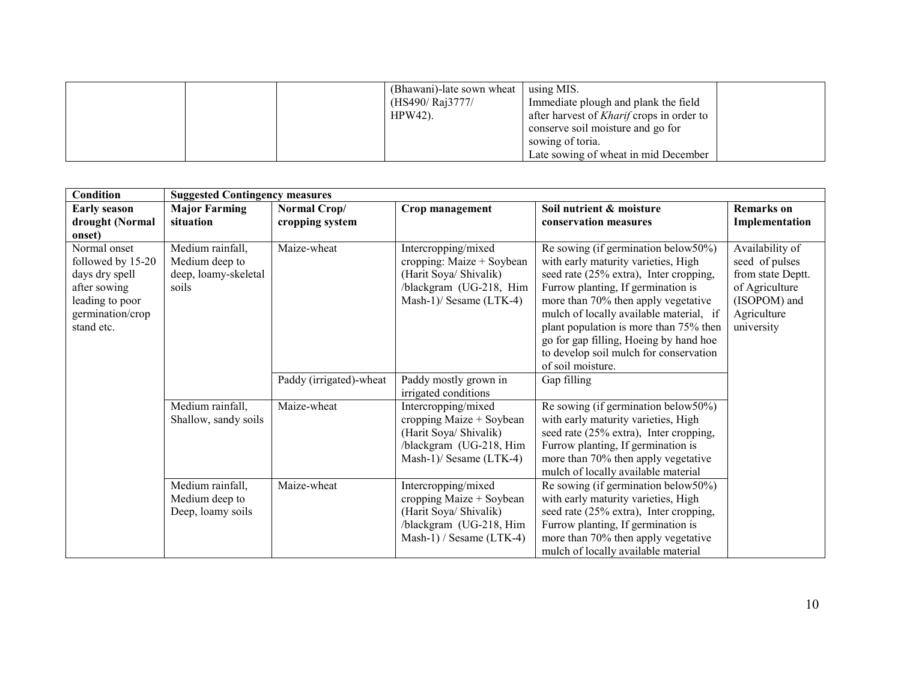|  | (Bhawani)-late sown wheat<br>(HS490/ Raj3777/<br>$HPW42$ ). | using MIS.<br>Immediate plough and plank the field<br>after harvest of <i>Kharif</i> crops in order to<br>conserve soil moisture and go for<br>sowing of toria. |  |
|--|-------------------------------------------------------------|-----------------------------------------------------------------------------------------------------------------------------------------------------------------|--|
|  |                                                             | Late sowing of wheat in mid December                                                                                                                            |  |

| Condition                                                                                                                | <b>Suggested Contingency measures</b>                               |                                 |                                                                                                                                    |                                                                                                                                                                                                                                                                                                                                                                                                 |                                                                                                                       |  |  |
|--------------------------------------------------------------------------------------------------------------------------|---------------------------------------------------------------------|---------------------------------|------------------------------------------------------------------------------------------------------------------------------------|-------------------------------------------------------------------------------------------------------------------------------------------------------------------------------------------------------------------------------------------------------------------------------------------------------------------------------------------------------------------------------------------------|-----------------------------------------------------------------------------------------------------------------------|--|--|
| <b>Early season</b><br>drought (Normal<br>onset)                                                                         | <b>Major Farming</b><br>situation                                   | Normal Crop/<br>cropping system | Crop management                                                                                                                    | Soil nutrient & moisture<br>conservation measures                                                                                                                                                                                                                                                                                                                                               | <b>Remarks</b> on<br>Implementation                                                                                   |  |  |
| Normal onset<br>followed by 15-20<br>days dry spell<br>after sowing<br>leading to poor<br>germination/crop<br>stand etc. | Medium rainfall,<br>Medium deep to<br>deep, loamy-skeletal<br>soils | Maize-wheat                     | Intercropping/mixed<br>cropping: Maize + Soybean<br>(Harit Soya/ Shivalik)<br>/blackgram (UG-218, Him<br>Mash-1)/ Sesame $(LTK-4)$ | Re sowing (if germination below50%)<br>with early maturity varieties, High<br>seed rate (25% extra), Inter cropping,<br>Furrow planting, If germination is<br>more than 70% then apply vegetative<br>mulch of locally available material, if<br>plant population is more than 75% then<br>go for gap filling, Hoeing by hand hoe<br>to develop soil mulch for conservation<br>of soil moisture. | Availability of<br>seed of pulses<br>from state Deptt.<br>of Agriculture<br>(ISOPOM) and<br>Agriculture<br>university |  |  |
|                                                                                                                          |                                                                     | Paddy (irrigated)-wheat         | Paddy mostly grown in<br>irrigated conditions                                                                                      | Gap filling                                                                                                                                                                                                                                                                                                                                                                                     |                                                                                                                       |  |  |
|                                                                                                                          | Medium rainfall,<br>Shallow, sandy soils                            | Maize-wheat                     | Intercropping/mixed<br>cropping Maize + Soybean<br>(Harit Soya/ Shivalik)<br>/blackgram (UG-218, Him<br>Mash-1)/ Sesame (LTK-4)    | Re sowing (if germination below50%)<br>with early maturity varieties, High<br>seed rate (25% extra), Inter cropping,<br>Furrow planting, If germination is<br>more than 70% then apply vegetative<br>mulch of locally available material                                                                                                                                                        |                                                                                                                       |  |  |
|                                                                                                                          | Medium rainfall,<br>Medium deep to<br>Deep, loamy soils             | Maize-wheat                     | Intercropping/mixed<br>cropping Maize + Soybean<br>(Harit Soya/ Shivalik)<br>/blackgram (UG-218, Him<br>Mash-1) / Sesame (LTK-4)   | Re sowing (if germination below50%)<br>with early maturity varieties, High<br>seed rate (25% extra), Inter cropping,<br>Furrow planting, If germination is<br>more than 70% then apply vegetative<br>mulch of locally available material                                                                                                                                                        |                                                                                                                       |  |  |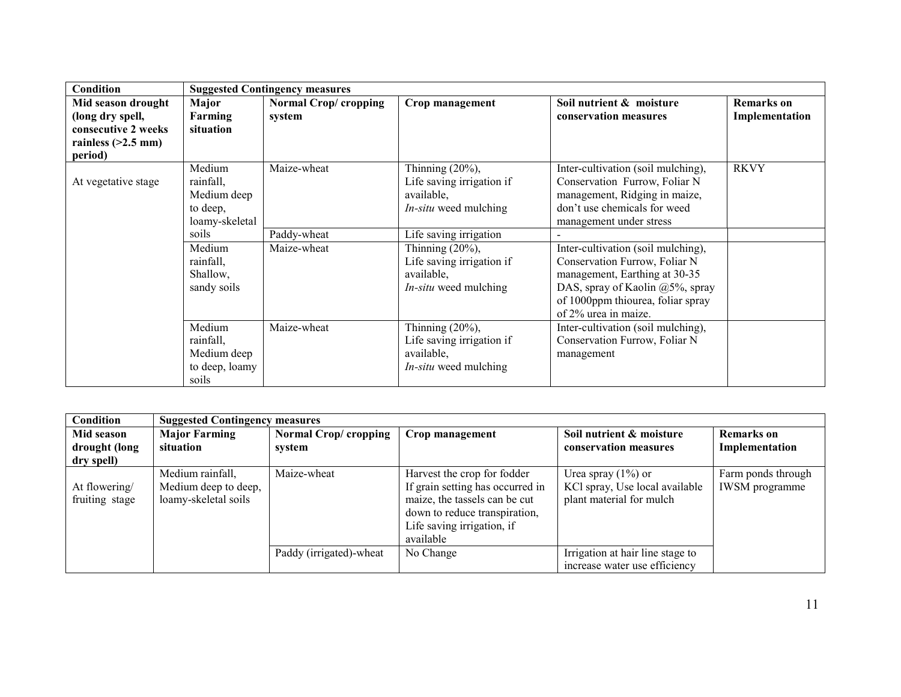| <b>Condition</b>                                                                                 | <b>Suggested Contingency measures</b>                                                                                       |                                           |                                                                                                                                                                                                                            |                                                                                                                                                                                                                                                                                                                                                                         |                                     |  |
|--------------------------------------------------------------------------------------------------|-----------------------------------------------------------------------------------------------------------------------------|-------------------------------------------|----------------------------------------------------------------------------------------------------------------------------------------------------------------------------------------------------------------------------|-------------------------------------------------------------------------------------------------------------------------------------------------------------------------------------------------------------------------------------------------------------------------------------------------------------------------------------------------------------------------|-------------------------------------|--|
| Mid season drought<br>(long dry spell,<br>consecutive 2 weeks<br>rainless $(>2.5$ mm)<br>period) | Major<br>Farming<br>situation                                                                                               | Normal Crop/cropping<br>system            | Crop management                                                                                                                                                                                                            | Soil nutrient & moisture<br>conservation measures                                                                                                                                                                                                                                                                                                                       | <b>Remarks</b> on<br>Implementation |  |
| At vegetative stage                                                                              | Medium<br>rainfall,<br>Medium deep<br>to deep,<br>loamy-skeletal<br>soils<br>Medium<br>rainfall,<br>Shallow,<br>sandy soils | Maize-wheat<br>Paddy-wheat<br>Maize-wheat | Thinning $(20\%)$ ,<br>Life saving irrigation if<br>available,<br><i>In-situ</i> weed mulching<br>Life saving irrigation<br>Thinning $(20\%)$ ,<br>Life saving irrigation if<br>available,<br><i>In-situ</i> weed mulching | Inter-cultivation (soil mulching),<br>Conservation Furrow, Foliar N<br>management, Ridging in maize,<br>don't use chemicals for weed<br>management under stress<br>Inter-cultivation (soil mulching),<br>Conservation Furrow, Foliar N<br>management, Earthing at 30-35<br>DAS, spray of Kaolin @5%, spray<br>of 1000ppm thiourea, foliar spray<br>of 2% urea in maize. | <b>RKVY</b>                         |  |
|                                                                                                  | Medium<br>rainfall,<br>Medium deep<br>to deep, loamy<br>soils                                                               | Maize-wheat                               | Thinning $(20\%)$ ,<br>Life saving irrigation if<br>available,<br><i>In-situ</i> weed mulching                                                                                                                             | Inter-cultivation (soil mulching),<br>Conservation Furrow, Foliar N<br>management                                                                                                                                                                                                                                                                                       |                                     |  |

| Condition                                 | <b>Suggested Contingency measures</b>                            |                                 |                                                                                                                                                                              |                                                                                     |                                             |
|-------------------------------------------|------------------------------------------------------------------|---------------------------------|------------------------------------------------------------------------------------------------------------------------------------------------------------------------------|-------------------------------------------------------------------------------------|---------------------------------------------|
| Mid season<br>drought (long<br>dry spell) | <b>Major Farming</b><br>situation                                | Normal Crop/ cropping<br>system | Crop management                                                                                                                                                              | Soil nutrient & moisture<br>conservation measures                                   | <b>Remarks</b> on<br>Implementation         |
| At flowering/<br>fruiting stage           | Medium rainfall,<br>Medium deep to deep,<br>loamy-skeletal soils | Maize-wheat                     | Harvest the crop for fodder<br>If grain setting has occurred in<br>maize, the tassels can be cut<br>down to reduce transpiration,<br>Life saving irrigation, if<br>available | Urea spray $(1\%)$ or<br>KCl spray, Use local available<br>plant material for mulch | Farm ponds through<br><b>IWSM</b> programme |
|                                           |                                                                  | Paddy (irrigated)-wheat         | No Change                                                                                                                                                                    | Irrigation at hair line stage to<br>increase water use efficiency                   |                                             |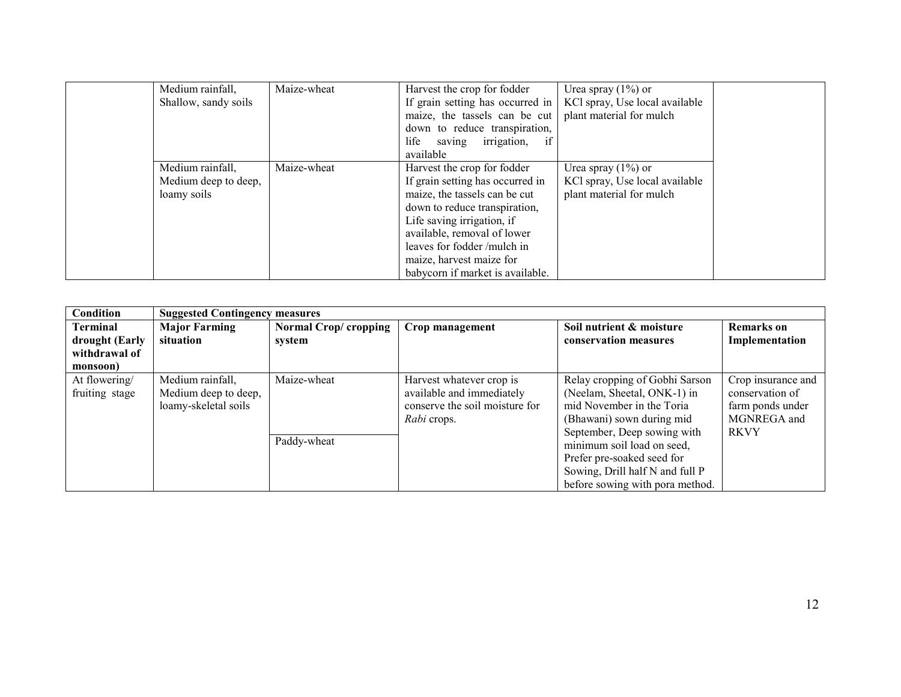| Medium rainfall,<br>Shallow, sandy soils                | Maize-wheat | Harvest the crop for fodder<br>If grain setting has occurred in<br>maize, the tassels can be cut<br>down to reduce transpiration,                                                                                                                                                            | Urea spray $(1\%)$ or<br>KCl spray, Use local available<br>plant material for mulch |
|---------------------------------------------------------|-------------|----------------------------------------------------------------------------------------------------------------------------------------------------------------------------------------------------------------------------------------------------------------------------------------------|-------------------------------------------------------------------------------------|
|                                                         |             | saving irrigation,<br>if<br>life<br>available                                                                                                                                                                                                                                                |                                                                                     |
| Medium rainfall,<br>Medium deep to deep,<br>loamy soils | Maize-wheat | Harvest the crop for fodder<br>If grain setting has occurred in<br>maize, the tassels can be cut<br>down to reduce transpiration,<br>Life saving irrigation, if<br>available, removal of lower<br>leaves for fodder/mulch in<br>maize, harvest maize for<br>babycorn if market is available. | Urea spray $(1\%)$ or<br>KCl spray, Use local available<br>plant material for mulch |

| Condition                                          | <b>Suggested Contingency measures</b>                            |                                 |                                                                                                        |                                                                                                                                                                                                                                                                                          |                                                                                         |
|----------------------------------------------------|------------------------------------------------------------------|---------------------------------|--------------------------------------------------------------------------------------------------------|------------------------------------------------------------------------------------------------------------------------------------------------------------------------------------------------------------------------------------------------------------------------------------------|-----------------------------------------------------------------------------------------|
| <b>Terminal</b><br>drought (Early<br>withdrawal of | <b>Major Farming</b><br>situation                                | Normal Crop/ cropping<br>system | Crop management                                                                                        | Soil nutrient & moisture<br>conservation measures                                                                                                                                                                                                                                        | <b>Remarks</b> on<br>Implementation                                                     |
| monsoon)<br>At flowering/<br>fruiting stage        | Medium rainfall,<br>Medium deep to deep,<br>loamy-skeletal soils | Maize-wheat<br>Paddy-wheat      | Harvest whatever crop is<br>available and immediately<br>conserve the soil moisture for<br>Rabi crops. | Relay cropping of Gobhi Sarson<br>(Neelam, Sheetal, ONK-1) in<br>mid November in the Toria<br>(Bhawani) sown during mid<br>September, Deep sowing with<br>minimum soil load on seed,<br>Prefer pre-soaked seed for<br>Sowing, Drill half N and full P<br>before sowing with pora method. | Crop insurance and<br>conservation of<br>farm ponds under<br>MGNREGA and<br><b>RKVY</b> |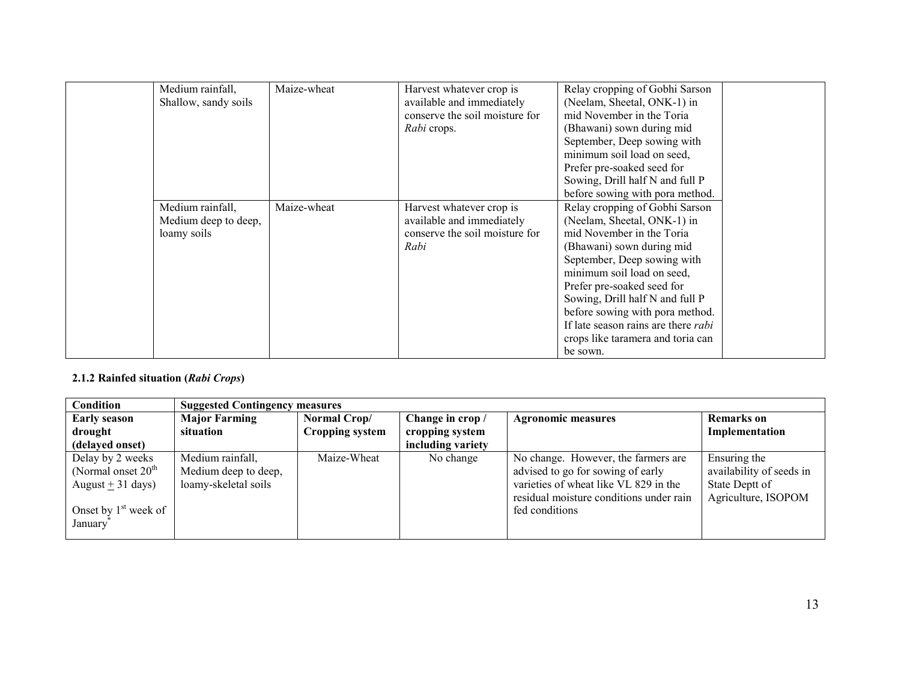| Medium rainfall,<br>Shallow, sandy soils                | Maize-wheat | Harvest whatever crop is<br>available and immediately<br>conserve the soil moisture for<br>Rabi crops. | Relay cropping of Gobhi Sarson<br>(Neelam, Sheetal, ONK-1) in<br>mid November in the Toria<br>(Bhawani) sown during mid<br>September, Deep sowing with<br>minimum soil load on seed,<br>Prefer pre-soaked seed for<br>Sowing, Drill half N and full P<br>before sowing with pora method.                                                                                                |  |
|---------------------------------------------------------|-------------|--------------------------------------------------------------------------------------------------------|-----------------------------------------------------------------------------------------------------------------------------------------------------------------------------------------------------------------------------------------------------------------------------------------------------------------------------------------------------------------------------------------|--|
| Medium rainfall,<br>Medium deep to deep,<br>loamy soils | Maize-wheat | Harvest whatever crop is<br>available and immediately<br>conserve the soil moisture for<br>Rabi        | Relay cropping of Gobhi Sarson<br>(Neelam, Sheetal, ONK-1) in<br>mid November in the Toria<br>(Bhawani) sown during mid<br>September, Deep sowing with<br>minimum soil load on seed,<br>Prefer pre-soaked seed for<br>Sowing, Drill half N and full P<br>before sowing with pora method.<br>If late season rains are there <i>rabi</i><br>crops like taramera and toria can<br>be sown. |  |

#### 2.1.2 Rainfed situation (Rabi Crops)

| <b>Condition</b>       |                      | <b>Suggested Contingency measures</b> |                   |                                         |                          |  |  |
|------------------------|----------------------|---------------------------------------|-------------------|-----------------------------------------|--------------------------|--|--|
| <b>Early season</b>    | <b>Major Farming</b> | Normal Crop/                          | Change in crop /  | <b>Agronomic measures</b>               | <b>Remarks</b> on        |  |  |
| drought                | situation            | <b>Cropping system</b>                | cropping system   |                                         | Implementation           |  |  |
| (delayed onset)        |                      |                                       | including variety |                                         |                          |  |  |
| Delay by 2 weeks       | Medium rainfall,     | Maize-Wheat                           | No change         | No change. However, the farmers are     | Ensuring the             |  |  |
| (Normal onset $20th$   | Medium deep to deep, |                                       |                   | advised to go for sowing of early       | availability of seeds in |  |  |
| August + $31$ days)    | loamy-skeletal soils |                                       |                   | varieties of wheat like VL 829 in the   | State Deptt of           |  |  |
|                        |                      |                                       |                   | residual moisture conditions under rain | Agriculture, ISOPOM      |  |  |
| Onset by $1st$ week of |                      |                                       |                   | fed conditions                          |                          |  |  |
| January                |                      |                                       |                   |                                         |                          |  |  |
|                        |                      |                                       |                   |                                         |                          |  |  |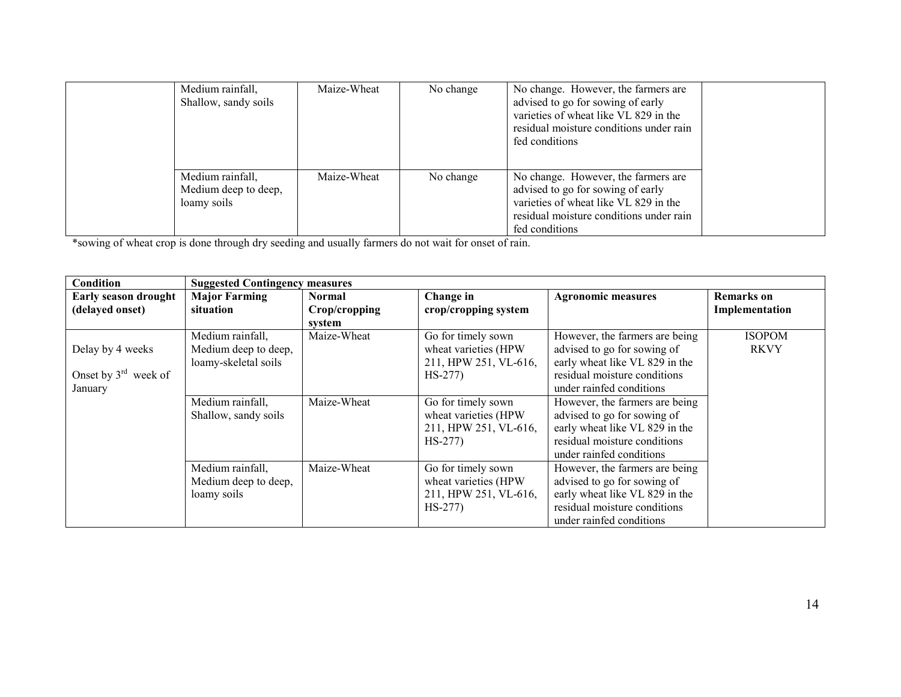| Medium rainfall,<br>Shallow, sandy soils                | Maize-Wheat | No change | No change. However, the farmers are<br>advised to go for sowing of early<br>varieties of wheat like VL 829 in the<br>residual moisture conditions under rain<br>fed conditions |  |
|---------------------------------------------------------|-------------|-----------|--------------------------------------------------------------------------------------------------------------------------------------------------------------------------------|--|
| Medium rainfall,<br>Medium deep to deep,<br>loamy soils | Maize-Wheat | No change | No change. However, the farmers are<br>advised to go for sowing of early<br>varieties of wheat like VL 829 in the<br>residual moisture conditions under rain<br>fed conditions |  |

\*sowing of wheat crop is done through dry seeding and usually farmers do not wait for onset of rain.

| Condition                                                       |                                                                  | <b>Suggested Contingency measures</b>    |                                                                                  |                                                                                                                                                             |                              |  |
|-----------------------------------------------------------------|------------------------------------------------------------------|------------------------------------------|----------------------------------------------------------------------------------|-------------------------------------------------------------------------------------------------------------------------------------------------------------|------------------------------|--|
| <b>Early season drought</b><br>(delayed onset)                  | <b>Major Farming</b><br>situation                                | <b>Normal</b><br>Crop/cropping<br>system | Change in<br>crop/cropping system                                                | <b>Agronomic measures</b>                                                                                                                                   | Remarks on<br>Implementation |  |
| Delay by 4 weeks<br>Onset by $3^{\text{rd}}$ week of<br>January | Medium rainfall,<br>Medium deep to deep,<br>loamy-skeletal soils | Maize-Wheat                              | Go for timely sown<br>wheat varieties (HPW<br>211, HPW 251, VL-616,<br>$HS-277$  | However, the farmers are being<br>advised to go for sowing of<br>early wheat like VL 829 in the<br>residual moisture conditions<br>under rainfed conditions | <b>ISOPOM</b><br><b>RKVY</b> |  |
|                                                                 | Medium rainfall,<br>Shallow, sandy soils                         | Maize-Wheat                              | Go for timely sown<br>wheat varieties (HPW<br>211, HPW 251, VL-616,<br>$HS-277$  | However, the farmers are being<br>advised to go for sowing of<br>early wheat like VL 829 in the<br>residual moisture conditions<br>under rainfed conditions |                              |  |
|                                                                 | Medium rainfall,<br>Medium deep to deep,<br>loamy soils          | Maize-Wheat                              | Go for timely sown<br>wheat varieties (HPW)<br>211, HPW 251, VL-616,<br>$HS-277$ | However, the farmers are being<br>advised to go for sowing of<br>early wheat like VL 829 in the<br>residual moisture conditions<br>under rainfed conditions |                              |  |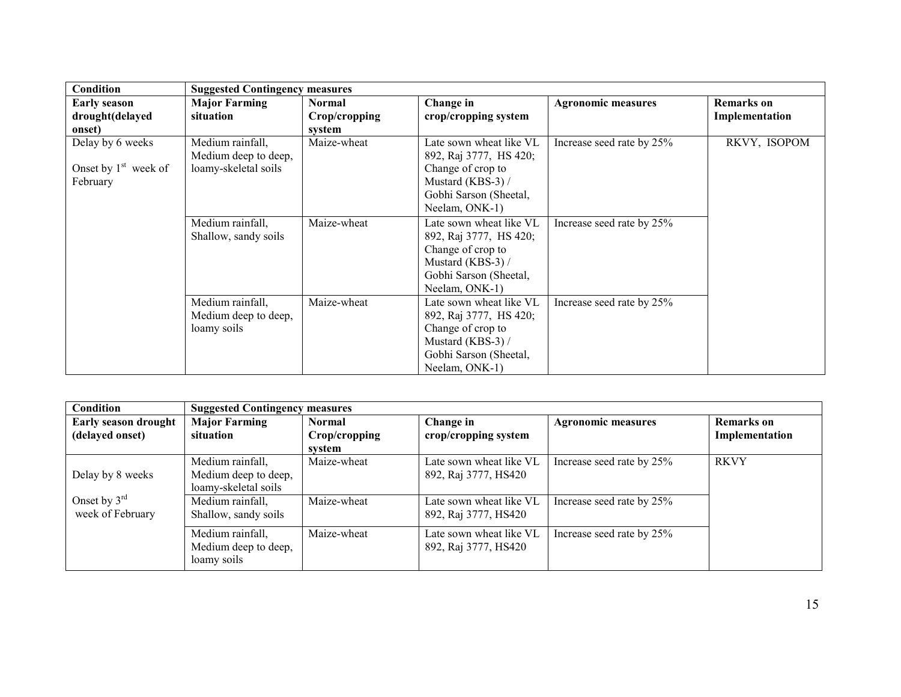| <b>Condition</b>                                       |                                                                  | <b>Suggested Contingency measures</b>    |                                                                                                                                         |                           |                                     |  |  |  |
|--------------------------------------------------------|------------------------------------------------------------------|------------------------------------------|-----------------------------------------------------------------------------------------------------------------------------------------|---------------------------|-------------------------------------|--|--|--|
| <b>Early season</b><br>drought(delayed<br>onset)       | <b>Major Farming</b><br>situation                                | <b>Normal</b><br>Crop/cropping<br>system | Change in<br>crop/cropping system                                                                                                       | <b>Agronomic measures</b> | <b>Remarks</b> on<br>Implementation |  |  |  |
| Delay by 6 weeks<br>Onset by $1st$ week of<br>February | Medium rainfall,<br>Medium deep to deep,<br>loamy-skeletal soils | Maize-wheat                              | Late sown wheat like VL<br>892, Raj 3777, HS 420;<br>Change of crop to<br>Mustard (KBS-3) /<br>Gobhi Sarson (Sheetal,<br>Neelam, ONK-1) | Increase seed rate by 25% | RKVY, ISOPOM                        |  |  |  |
|                                                        | Medium rainfall,<br>Shallow, sandy soils                         | Maize-wheat                              | Late sown wheat like VL<br>892, Raj 3777, HS 420;<br>Change of crop to<br>Mustard (KBS-3) /<br>Gobhi Sarson (Sheetal,<br>Neelam, ONK-1) | Increase seed rate by 25% |                                     |  |  |  |
|                                                        | Medium rainfall,<br>Medium deep to deep,<br>loamy soils          | Maize-wheat                              | Late sown wheat like VL<br>892, Raj 3777, HS 420;<br>Change of crop to<br>Mustard (KBS-3) /<br>Gobhi Sarson (Sheetal,<br>Neelam, ONK-1) | Increase seed rate by 25% |                                     |  |  |  |

| Condition                                      | <b>Suggested Contingency measures</b>                            |                                          |                                                 |                           |                                     |
|------------------------------------------------|------------------------------------------------------------------|------------------------------------------|-------------------------------------------------|---------------------------|-------------------------------------|
| <b>Early season drought</b><br>(delayed onset) | <b>Major Farming</b><br>situation                                | <b>Normal</b><br>Crop/cropping<br>svstem | Change in<br>crop/cropping system               | <b>Agronomic measures</b> | <b>Remarks</b> on<br>Implementation |
| Delay by 8 weeks                               | Medium rainfall,<br>Medium deep to deep,<br>loamy-skeletal soils | Maize-wheat                              | Late sown wheat like VL<br>892, Raj 3777, HS420 | Increase seed rate by 25% | <b>RKVY</b>                         |
| Onset by $3^{\text{rd}}$<br>week of February   | Medium rainfall,<br>Shallow, sandy soils                         | Maize-wheat                              | Late sown wheat like VL<br>892, Raj 3777, HS420 | Increase seed rate by 25% |                                     |
|                                                | Medium rainfall,<br>Medium deep to deep,<br>loamy soils          | Maize-wheat                              | Late sown wheat like VL<br>892, Raj 3777, HS420 | Increase seed rate by 25% |                                     |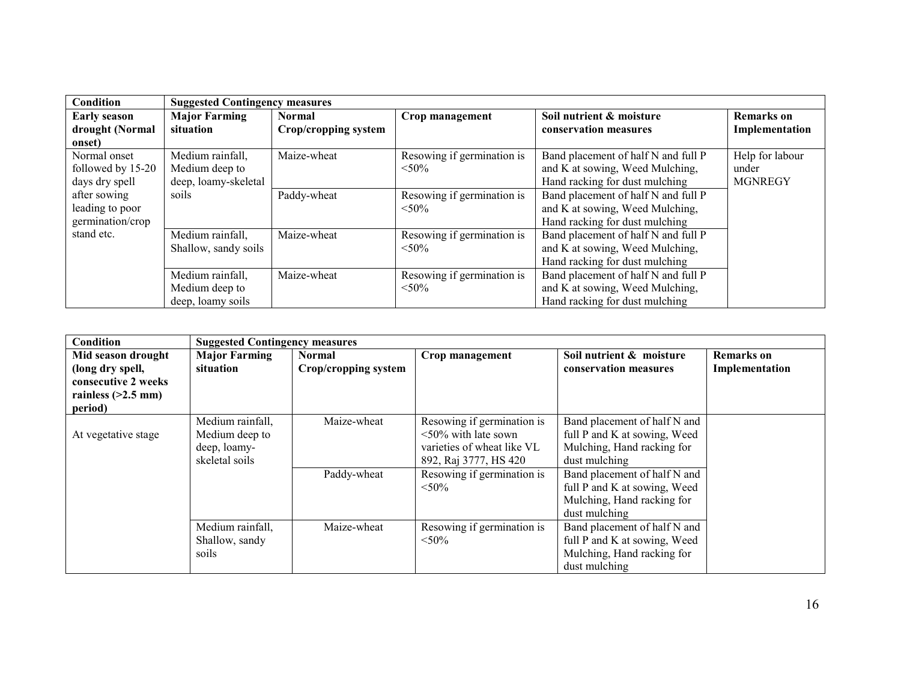| Condition           | <b>Suggested Contingency measures</b> |                      |                            |                                     |                   |  |
|---------------------|---------------------------------------|----------------------|----------------------------|-------------------------------------|-------------------|--|
| <b>Early season</b> | <b>Major Farming</b>                  | <b>Normal</b>        | Crop management            | Soil nutrient & moisture            | <b>Remarks</b> on |  |
| drought (Normal     | situation                             | Crop/cropping system |                            | conservation measures               | Implementation    |  |
| onset)              |                                       |                      |                            |                                     |                   |  |
| Normal onset        | Medium rainfall,                      | Maize-wheat          | Resowing if germination is | Band placement of half N and full P | Help for labour   |  |
| followed by 15-20   | Medium deep to                        |                      | $< 50\%$                   | and K at sowing, Weed Mulching,     | under             |  |
| days dry spell      | deep, loamy-skeletal                  |                      |                            | Hand racking for dust mulching      | <b>MGNREGY</b>    |  |
| after sowing        | soils                                 | Paddy-wheat          | Resowing if germination is | Band placement of half N and full P |                   |  |
| leading to poor     |                                       |                      | $< 50\%$                   | and K at sowing, Weed Mulching,     |                   |  |
| germination/crop    |                                       |                      |                            | Hand racking for dust mulching      |                   |  |
| stand etc.          | Medium rainfall,                      | Maize-wheat          | Resowing if germination is | Band placement of half N and full P |                   |  |
|                     | Shallow, sandy soils                  |                      | $< 50\%$                   | and K at sowing, Weed Mulching,     |                   |  |
|                     |                                       |                      |                            | Hand racking for dust mulching      |                   |  |
|                     | Medium rainfall,                      | Maize-wheat          | Resowing if germination is | Band placement of half N and full P |                   |  |
|                     | Medium deep to                        |                      | $< 50\%$                   | and K at sowing, Weed Mulching,     |                   |  |
|                     | deep, loamy soils                     |                      |                            | Hand racking for dust mulching      |                   |  |

| <b>Condition</b>                                                                                 | <b>Suggested Contingency measures</b>                                |                                       |                                                                                                                                                           |                                                                                                                                                                                                                            |                                     |
|--------------------------------------------------------------------------------------------------|----------------------------------------------------------------------|---------------------------------------|-----------------------------------------------------------------------------------------------------------------------------------------------------------|----------------------------------------------------------------------------------------------------------------------------------------------------------------------------------------------------------------------------|-------------------------------------|
| Mid season drought<br>(long dry spell,<br>consecutive 2 weeks<br>rainless $(>2.5$ mm)<br>period) | <b>Major Farming</b><br>situation                                    | <b>Normal</b><br>Crop/cropping system | Crop management                                                                                                                                           | Soil nutrient & moisture<br>conservation measures                                                                                                                                                                          | <b>Remarks</b> on<br>Implementation |
| At vegetative stage                                                                              | Medium rainfall,<br>Medium deep to<br>deep, loamy-<br>skeletal soils | Maize-wheat<br>Paddy-wheat            | Resowing if germination is<br>$\leq 50\%$ with late sown<br>varieties of wheat like VL<br>892, Raj 3777, HS 420<br>Resowing if germination is<br>$< 50\%$ | Band placement of half N and<br>full P and K at sowing, Weed<br>Mulching, Hand racking for<br>dust mulching<br>Band placement of half N and<br>full P and K at sowing, Weed<br>Mulching, Hand racking for<br>dust mulching |                                     |
|                                                                                                  | Medium rainfall,<br>Shallow, sandy<br>soils                          | Maize-wheat                           | Resowing if germination is<br>$< 50\%$                                                                                                                    | Band placement of half N and<br>full P and K at sowing, Weed<br>Mulching, Hand racking for<br>dust mulching                                                                                                                |                                     |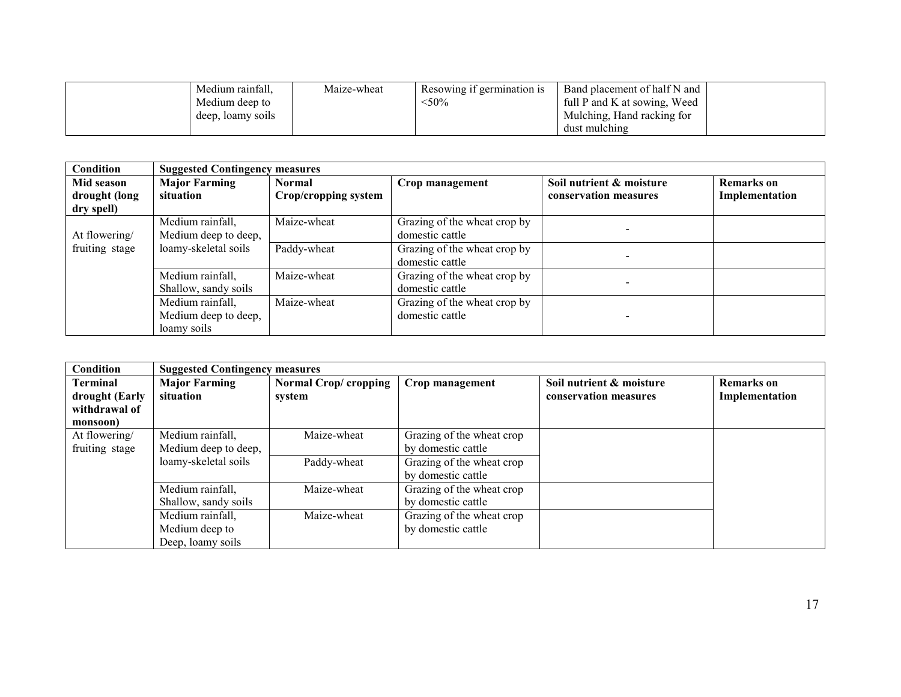| Medium rainfall,  | Maize-wheat | Resowing if germination is | Band placement of half N and |  |
|-------------------|-------------|----------------------------|------------------------------|--|
| Medium deep to    |             | $50\%$                     | full P and K at sowing, Weed |  |
| deep, loamy soils |             |                            | Mulching, Hand racking for   |  |
|                   |             |                            | dust mulching                |  |

| Condition                   | <b>Suggested Contingency measures</b>                   |                                       |                                                 |                                                   |                                     |  |
|-----------------------------|---------------------------------------------------------|---------------------------------------|-------------------------------------------------|---------------------------------------------------|-------------------------------------|--|
| Mid season<br>drought (long | <b>Major Farming</b><br>situation                       | <b>Normal</b><br>Crop/cropping system | Crop management                                 | Soil nutrient & moisture<br>conservation measures | <b>Remarks</b> on<br>Implementation |  |
| dry spell)<br>At flowering/ | Medium rainfall,<br>Medium deep to deep,                | $\overline{\text{M}}$ aize-wheat      | Grazing of the wheat crop by<br>domestic cattle |                                                   |                                     |  |
| fruiting stage              | loamy-skeletal soils                                    | Paddy-wheat                           | Grazing of the wheat crop by<br>domestic cattle |                                                   |                                     |  |
|                             | Medium rainfall,<br>Shallow, sandy soils                | Maize-wheat                           | Grazing of the wheat crop by<br>domestic cattle |                                                   |                                     |  |
|                             | Medium rainfall,<br>Medium deep to deep,<br>loamy soils | $\overline{\text{M}}$ aize-wheat      | Grazing of the wheat crop by<br>domestic cattle |                                                   |                                     |  |

| Condition      | <b>Suggested Contingency measures</b> |                       |                           |                          |                   |
|----------------|---------------------------------------|-----------------------|---------------------------|--------------------------|-------------------|
| Terminal       | <b>Major Farming</b>                  | Normal Crop/ cropping | Crop management           | Soil nutrient & moisture | <b>Remarks</b> on |
| drought (Early | situation                             | system                |                           | conservation measures    | Implementation    |
| withdrawal of  |                                       |                       |                           |                          |                   |
| monsoon)       |                                       |                       |                           |                          |                   |
| At flowering/  | Medium rainfall,                      | Maize-wheat           | Grazing of the wheat crop |                          |                   |
| fruiting stage | Medium deep to deep,                  |                       | by domestic cattle        |                          |                   |
|                | loamy-skeletal soils                  | Paddy-wheat           | Grazing of the wheat crop |                          |                   |
|                |                                       |                       | by domestic cattle        |                          |                   |
|                | Medium rainfall,                      | Maize-wheat           | Grazing of the wheat crop |                          |                   |
|                | Shallow, sandy soils                  |                       | by domestic cattle        |                          |                   |
|                | Medium rainfall,                      | Maize-wheat           | Grazing of the wheat crop |                          |                   |
|                | Medium deep to                        |                       | by domestic cattle        |                          |                   |
|                | Deep, loamy soils                     |                       |                           |                          |                   |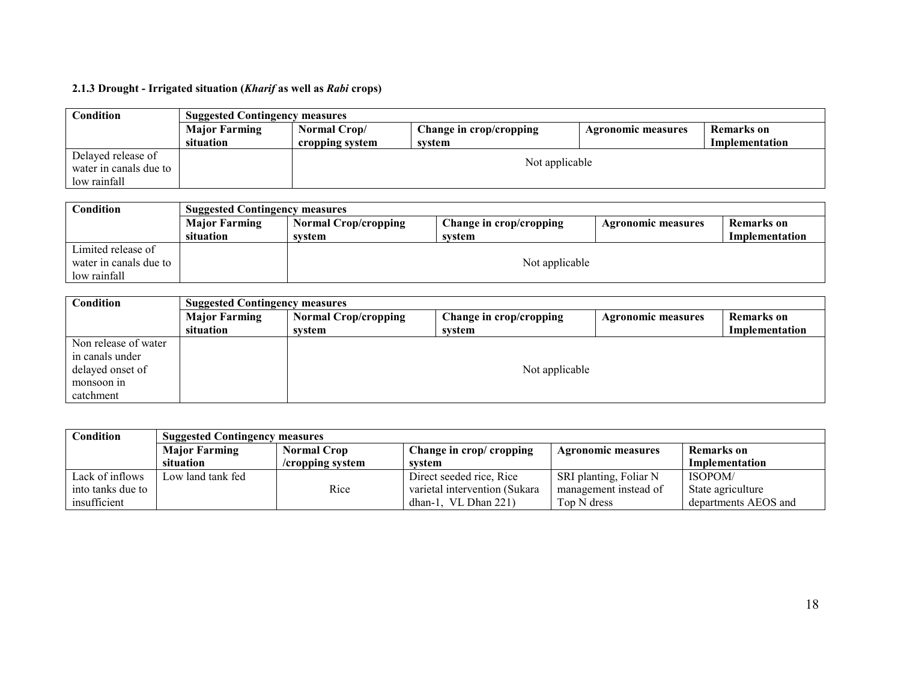# 2.1.3 Drought - Irrigated situation (Kharif as well as Rabi crops)

| <b>Condition</b>       | <b>Suggested Contingency measures</b> |                 |                         |                           |                |  |
|------------------------|---------------------------------------|-----------------|-------------------------|---------------------------|----------------|--|
|                        | <b>Major Farming</b>                  | Normal Crop/    | Change in crop/cropping | <b>Agronomic measures</b> | Remarks on     |  |
|                        | situation                             | cropping system | system                  |                           | Implementation |  |
| Delayed release of     |                                       |                 |                         |                           |                |  |
| water in canals due to |                                       | Not applicable  |                         |                           |                |  |
| low rainfall           |                                       |                 |                         |                           |                |  |

| Condition              |                      | <b>Suggested Contingency measures</b> |                         |                           |                |  |  |
|------------------------|----------------------|---------------------------------------|-------------------------|---------------------------|----------------|--|--|
|                        | <b>Major Farming</b> | <b>Normal Crop/cropping</b>           | Change in crop/cropping | <b>Agronomic measures</b> | Remarks on     |  |  |
|                        | situation            | svstem                                | svstem                  |                           | Implementation |  |  |
| Limited release of     |                      |                                       |                         |                           |                |  |  |
| water in canals due to |                      |                                       | Not applicable          |                           |                |  |  |
| low rainfall           |                      |                                       |                         |                           |                |  |  |

| Condition            | <b>Suggested Contingency measures</b> |                             |                         |                           |                |  |
|----------------------|---------------------------------------|-----------------------------|-------------------------|---------------------------|----------------|--|
|                      | <b>Major Farming</b>                  | <b>Normal Crop/cropping</b> | Change in crop/cropping | <b>Agronomic measures</b> | Remarks on     |  |
|                      | situation                             | system                      | system                  |                           | Implementation |  |
| Non release of water |                                       |                             |                         |                           |                |  |
| in canals under      |                                       |                             |                         |                           |                |  |
| delayed onset of     |                                       |                             | Not applicable          |                           |                |  |
| monsoon in           |                                       |                             |                         |                           |                |  |
| catchment            |                                       |                             |                         |                           |                |  |

| <b>Condition</b>  | <b>Suggested Contingency measures</b> |                    |                               |                           |                       |  |  |
|-------------------|---------------------------------------|--------------------|-------------------------------|---------------------------|-----------------------|--|--|
|                   | <b>Major Farming</b>                  | <b>Normal Crop</b> | Change in crop/ cropping      | <b>Agronomic measures</b> | <b>Remarks</b> on     |  |  |
|                   | situation                             | /cropping system   | svstem                        |                           | <b>Implementation</b> |  |  |
| Lack of inflows   | Low land tank fed                     |                    | Direct seeded rice, Rice      | SRI planting, Foliar N    | ISOPOM/               |  |  |
| into tanks due to |                                       | Rice               | varietal intervention (Sukara | management instead of     | State agriculture     |  |  |
| insufficient      |                                       |                    | dhan-1, VL Dhan $221$ )       | Top N dress               | departments AEOS and  |  |  |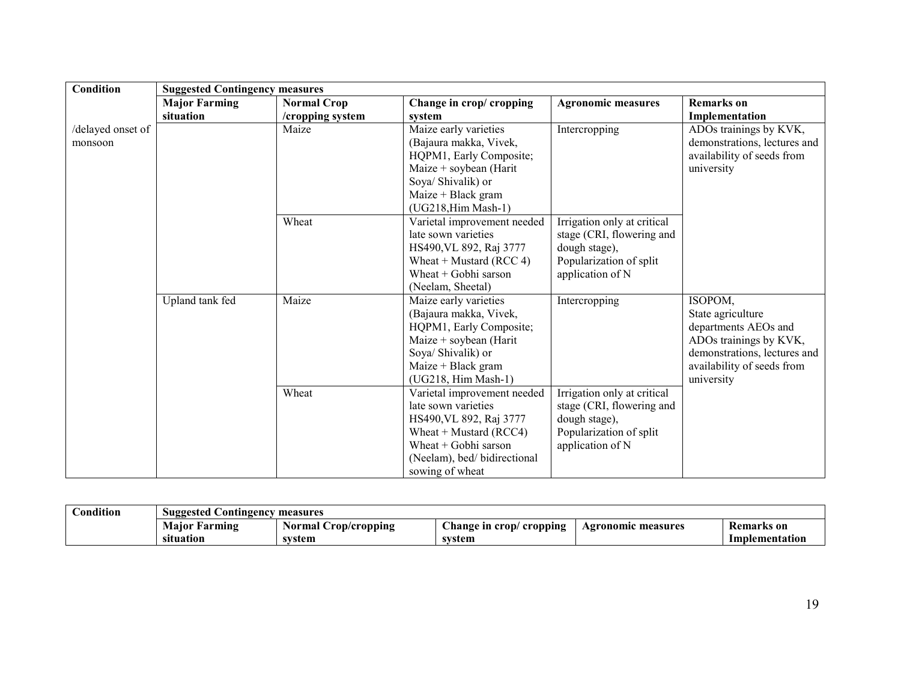| Condition<br><b>Suggested Contingency measures</b>  |                                                                            |
|-----------------------------------------------------|----------------------------------------------------------------------------|
| <b>Major Farming</b><br><b>Normal Crop</b>          | Change in crop/ cropping<br><b>Agronomic measures</b><br><b>Remarks</b> on |
| situation<br>/cropping system<br>system             | Implementation                                                             |
| Maize early varieties<br>Maize<br>/delayed onset of | ADOs trainings by KVK,<br>Intercropping                                    |
| monsoon                                             | demonstrations, lectures and<br>(Bajaura makka, Vivek,                     |
|                                                     | availability of seeds from<br>HQPM1, Early Composite;                      |
|                                                     | Maize + soybean (Harit<br>university                                       |
| Soya/ Shivalik) or                                  |                                                                            |
| Maize + Black gram                                  |                                                                            |
|                                                     | (UG218, Him Mash-1)                                                        |
| Wheat                                               | Varietal improvement needed<br>Irrigation only at critical                 |
| late sown varieties                                 | stage (CRI, flowering and                                                  |
|                                                     | HS490, VL 892, Raj 3777<br>dough stage),                                   |
|                                                     | Popularization of split<br>Wheat + Mustard (RCC 4)                         |
|                                                     | Wheat $+$ Gobhi sarson<br>application of N                                 |
| (Neelam, Sheetal)                                   |                                                                            |
| Upland tank fed<br>Maize<br>Maize early varieties   | ISOPOM,<br>Intercropping                                                   |
|                                                     | State agriculture<br>(Bajaura makka, Vivek,                                |
|                                                     | HQPM1, Early Composite;<br>departments AEOs and                            |
|                                                     | Maize + soybean (Harit<br>ADOs trainings by KVK,                           |
| Soya/ Shivalik) or                                  | demonstrations, lectures and                                               |
| Maize + Black gram                                  | availability of seeds from                                                 |
| Wheat                                               | (UG218, Him Mash-1)<br>university                                          |
| late sown varieties                                 | Varietal improvement needed<br><b>Irrigation</b> only at critical          |
|                                                     | stage (CRI, flowering and<br>HS490, VL 892, Raj 3777                       |
|                                                     | dough stage),<br>Wheat $+$ Mustard (RCC4)<br>Popularization of split       |
|                                                     | Wheat $+$ Gobhi sarson<br>application of N                                 |
|                                                     | (Neelam), bed/ bidirectional                                               |
| sowing of wheat                                     |                                                                            |

| ondition! | Suggested<br>. Contingency<br>measures |                         |                               |                         |                   |  |
|-----------|----------------------------------------|-------------------------|-------------------------------|-------------------------|-------------------|--|
|           | <b>Maior Farming</b>                   | Crop/cropping<br>Normal | change in crop/<br>/ cropping | : measures<br>Agronomic | <b>Remarks</b> on |  |
|           | sıtuation                              | system                  | system                        |                         | Implementation    |  |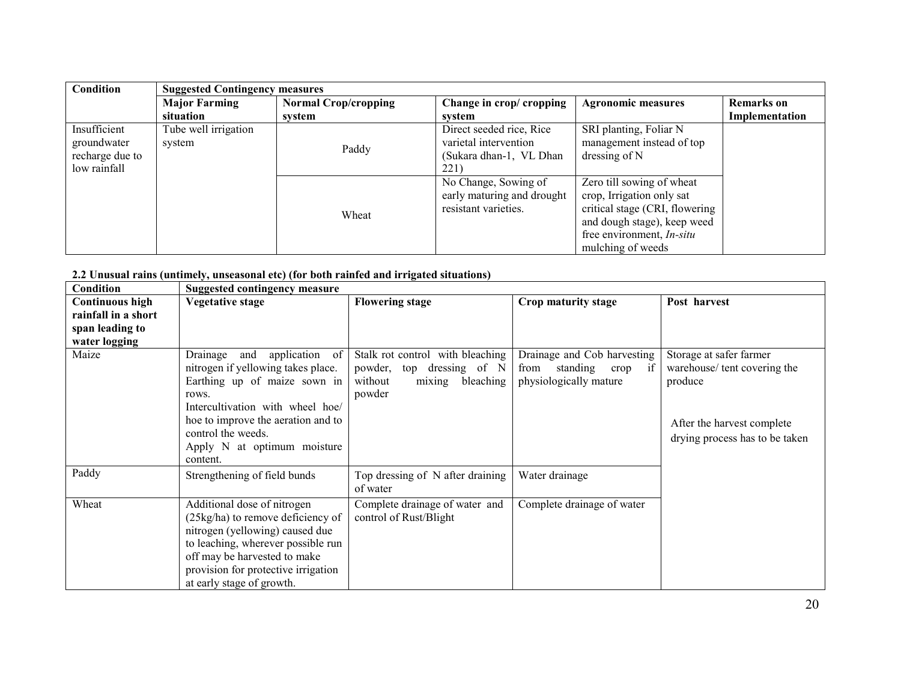| Condition                                                      | <b>Suggested Contingency measures</b> |                             |                                                                                      |                                                                                                                                                                                  |                   |
|----------------------------------------------------------------|---------------------------------------|-----------------------------|--------------------------------------------------------------------------------------|----------------------------------------------------------------------------------------------------------------------------------------------------------------------------------|-------------------|
|                                                                | <b>Major Farming</b>                  | <b>Normal Crop/cropping</b> | Change in crop/ cropping                                                             | <b>Agronomic measures</b>                                                                                                                                                        | <b>Remarks</b> on |
|                                                                | situation                             | system                      | system                                                                               |                                                                                                                                                                                  | Implementation    |
| Insufficient<br>groundwater<br>recharge due to<br>low rainfall | Tube well irrigation<br>system        | Paddy                       | Direct seeded rice, Rice<br>varietal intervention<br>(Sukara dhan-1, VL Dhan<br>221) | SRI planting, Foliar N<br>management instead of top<br>dressing of N                                                                                                             |                   |
|                                                                |                                       | Wheat                       | No Change, Sowing of<br>early maturing and drought<br>resistant varieties.           | Zero till sowing of wheat<br>crop, Irrigation only sat<br>critical stage (CRI, flowering<br>and dough stage), keep weed<br>free environment, <i>In-situ</i><br>mulching of weeds |                   |

2.2 Unusual rains (untimely, unseasonal etc) (for both rainfed and irrigated situations)

| Condition              | <b>Suggested contingency measure</b>                                                                                                                                                                                                                        |                                                                                                           |                                                                                   |                                                                                                                                   |  |
|------------------------|-------------------------------------------------------------------------------------------------------------------------------------------------------------------------------------------------------------------------------------------------------------|-----------------------------------------------------------------------------------------------------------|-----------------------------------------------------------------------------------|-----------------------------------------------------------------------------------------------------------------------------------|--|
| <b>Continuous high</b> | Vegetative stage                                                                                                                                                                                                                                            | <b>Flowering stage</b>                                                                                    | Crop maturity stage                                                               | Post harvest                                                                                                                      |  |
| rainfall in a short    |                                                                                                                                                                                                                                                             |                                                                                                           |                                                                                   |                                                                                                                                   |  |
| span leading to        |                                                                                                                                                                                                                                                             |                                                                                                           |                                                                                   |                                                                                                                                   |  |
| water logging          |                                                                                                                                                                                                                                                             |                                                                                                           |                                                                                   |                                                                                                                                   |  |
| Maize                  | application of<br>Drainage<br>and<br>nitrogen if yellowing takes place.<br>Earthing up of maize sown in<br>rows.<br>Intercultivation with wheel hoe/<br>hoe to improve the aeration and to<br>control the weeds.<br>Apply N at optimum moisture<br>content. | Stalk rot control with bleaching<br>powder, top dressing of N<br>without<br>bleaching<br>mixing<br>powder | Drainage and Cob harvesting<br>from standing crop<br>if<br>physiologically mature | Storage at safer farmer<br>warehouse/tent covering the<br>produce<br>After the harvest complete<br>drying process has to be taken |  |
| Paddy                  | Strengthening of field bunds                                                                                                                                                                                                                                | Top dressing of N after draining<br>of water                                                              | Water drainage                                                                    |                                                                                                                                   |  |
| Wheat                  | Additional dose of nitrogen<br>(25kg/ha) to remove deficiency of<br>nitrogen (yellowing) caused due<br>to leaching, wherever possible run<br>off may be harvested to make<br>provision for protective irrigation<br>at early stage of growth.               | Complete drainage of water and<br>control of Rust/Blight                                                  | Complete drainage of water                                                        |                                                                                                                                   |  |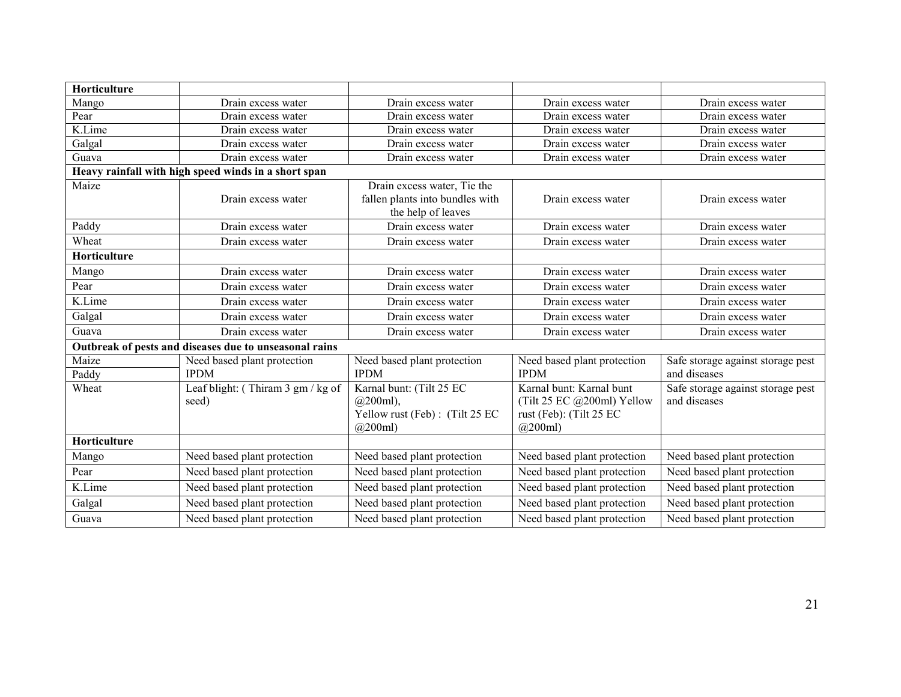| Horticulture |                                                        |                                 |                             |                                   |
|--------------|--------------------------------------------------------|---------------------------------|-----------------------------|-----------------------------------|
| Mango        | Drain excess water                                     | Drain excess water              | Drain excess water          | Drain excess water                |
| Pear         | Drain excess water                                     | Drain excess water              | Drain excess water          | Drain excess water                |
| K.Lime       | Drain excess water                                     | Drain excess water              | Drain excess water          | Drain excess water                |
| Galgal       | Drain excess water                                     | Drain excess water              | Drain excess water          | Drain excess water                |
| Guava        | Drain excess water                                     | Drain excess water              | Drain excess water          | Drain excess water                |
|              | Heavy rainfall with high speed winds in a short span   |                                 |                             |                                   |
| Maize        |                                                        | Drain excess water, Tie the     |                             |                                   |
|              | Drain excess water                                     | fallen plants into bundles with | Drain excess water          | Drain excess water                |
|              |                                                        | the help of leaves              |                             |                                   |
| Paddy        | Drain excess water                                     | Drain excess water              | Drain excess water          | Drain excess water                |
| Wheat        | Drain excess water                                     | Drain excess water              | Drain excess water          | Drain excess water                |
| Horticulture |                                                        |                                 |                             |                                   |
| Mango        | Drain excess water                                     | Drain excess water              | Drain excess water          | Drain excess water                |
| Pear         | Drain excess water                                     | Drain excess water              | Drain excess water          | Drain excess water                |
| K.Lime       | Drain excess water                                     | Drain excess water              | Drain excess water          | Drain excess water                |
| Galgal       | Drain excess water                                     | Drain excess water              | Drain excess water          | Drain excess water                |
| Guava        | Drain excess water                                     | Drain excess water              | Drain excess water          | Drain excess water                |
|              | Outbreak of pests and diseases due to unseasonal rains |                                 |                             |                                   |
| Maize        | Need based plant protection                            | Need based plant protection     | Need based plant protection | Safe storage against storage pest |
| Paddy        | <b>IPDM</b>                                            | <b>IPDM</b>                     | <b>IPDM</b>                 | and diseases                      |
| Wheat        | Leaf blight: (Thiram 3 gm / kg of                      | Karnal bunt: (Tilt 25 EC        | Karnal bunt: Karnal bunt    | Safe storage against storage pest |
|              | seed)                                                  | $(a)$ 200ml),                   | (Tilt 25 EC @200ml) Yellow  | and diseases                      |
|              |                                                        | Yellow rust (Feb): (Tilt 25 EC  | rust (Feb): (Tilt 25 EC     |                                   |
|              |                                                        | $(a)$ 200ml)                    | (a)200ml                    |                                   |
| Horticulture |                                                        |                                 |                             |                                   |
| Mango        | Need based plant protection                            | Need based plant protection     | Need based plant protection | Need based plant protection       |
| Pear         | Need based plant protection                            | Need based plant protection     | Need based plant protection | Need based plant protection       |
| K.Lime       | Need based plant protection                            | Need based plant protection     | Need based plant protection | Need based plant protection       |
| Galgal       | Need based plant protection                            | Need based plant protection     | Need based plant protection | Need based plant protection       |
| Guava        | Need based plant protection                            | Need based plant protection     | Need based plant protection | Need based plant protection       |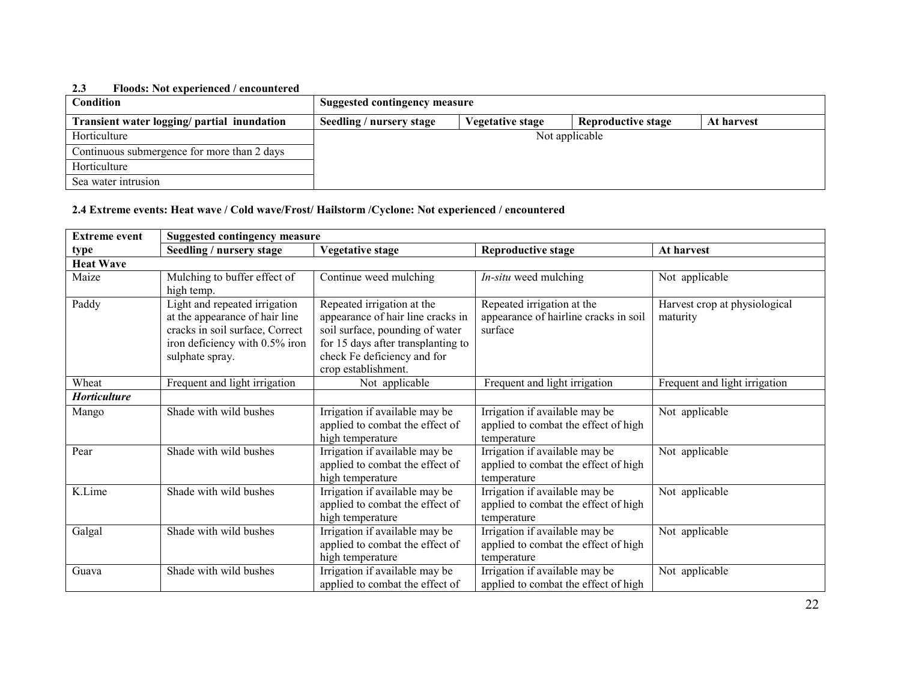#### 2.3 Floods: Not experienced / encountered

| <b>Condition</b>                            | <b>Suggested contingency measure</b> |                         |                           |            |
|---------------------------------------------|--------------------------------------|-------------------------|---------------------------|------------|
| Transient water logging/ partial inundation | Seedling / nursery stage             | <b>Vegetative stage</b> | <b>Reproductive stage</b> | At harvest |
| Horticulture                                |                                      |                         | Not applicable            |            |
| Continuous submergence for more than 2 days |                                      |                         |                           |            |
| Horticulture                                |                                      |                         |                           |            |
| Sea water intrusion                         |                                      |                         |                           |            |

#### 2.4 Extreme events: Heat wave / Cold wave/Frost/ Hailstorm /Cyclone: Not experienced / encountered

| <b>Extreme event</b> | <b>Suggested contingency measure</b>                                                                                                                    |                                                                                                                                                                                                |                                                                                       |                                           |  |
|----------------------|---------------------------------------------------------------------------------------------------------------------------------------------------------|------------------------------------------------------------------------------------------------------------------------------------------------------------------------------------------------|---------------------------------------------------------------------------------------|-------------------------------------------|--|
| type                 | Seedling / nursery stage                                                                                                                                | <b>Vegetative stage</b>                                                                                                                                                                        | <b>Reproductive stage</b>                                                             | At harvest                                |  |
| <b>Heat Wave</b>     |                                                                                                                                                         |                                                                                                                                                                                                |                                                                                       |                                           |  |
| Maize                | Mulching to buffer effect of<br>high temp.                                                                                                              | Continue weed mulching                                                                                                                                                                         | <i>In-situ</i> weed mulching                                                          | Not applicable                            |  |
| Paddy                | Light and repeated irrigation<br>at the appearance of hair line<br>cracks in soil surface, Correct<br>iron deficiency with 0.5% iron<br>sulphate spray. | Repeated irrigation at the<br>appearance of hair line cracks in<br>soil surface, pounding of water<br>for 15 days after transplanting to<br>check Fe deficiency and for<br>crop establishment. | Repeated irrigation at the<br>appearance of hairline cracks in soil<br>surface        | Harvest crop at physiological<br>maturity |  |
| Wheat                | Frequent and light irrigation                                                                                                                           | Not applicable                                                                                                                                                                                 | Frequent and light irrigation                                                         | Frequent and light irrigation             |  |
| Horticulture         |                                                                                                                                                         |                                                                                                                                                                                                |                                                                                       |                                           |  |
| Mango                | Shade with wild bushes                                                                                                                                  | Irrigation if available may be<br>applied to combat the effect of<br>high temperature                                                                                                          | Irrigation if available may be<br>applied to combat the effect of high<br>temperature | Not applicable                            |  |
| Pear                 | Shade with wild bushes                                                                                                                                  | Irrigation if available may be<br>applied to combat the effect of<br>high temperature                                                                                                          | Irrigation if available may be<br>applied to combat the effect of high<br>temperature | Not applicable                            |  |
| K.Lime               | Shade with wild bushes                                                                                                                                  | Irrigation if available may be<br>applied to combat the effect of<br>high temperature                                                                                                          | Irrigation if available may be<br>applied to combat the effect of high<br>temperature | Not applicable                            |  |
| Galgal               | Shade with wild bushes                                                                                                                                  | Irrigation if available may be<br>applied to combat the effect of<br>high temperature                                                                                                          | Irrigation if available may be<br>applied to combat the effect of high<br>temperature | Not applicable                            |  |
| Guava                | Shade with wild bushes                                                                                                                                  | Irrigation if available may be<br>applied to combat the effect of                                                                                                                              | Irrigation if available may be<br>applied to combat the effect of high                | Not applicable                            |  |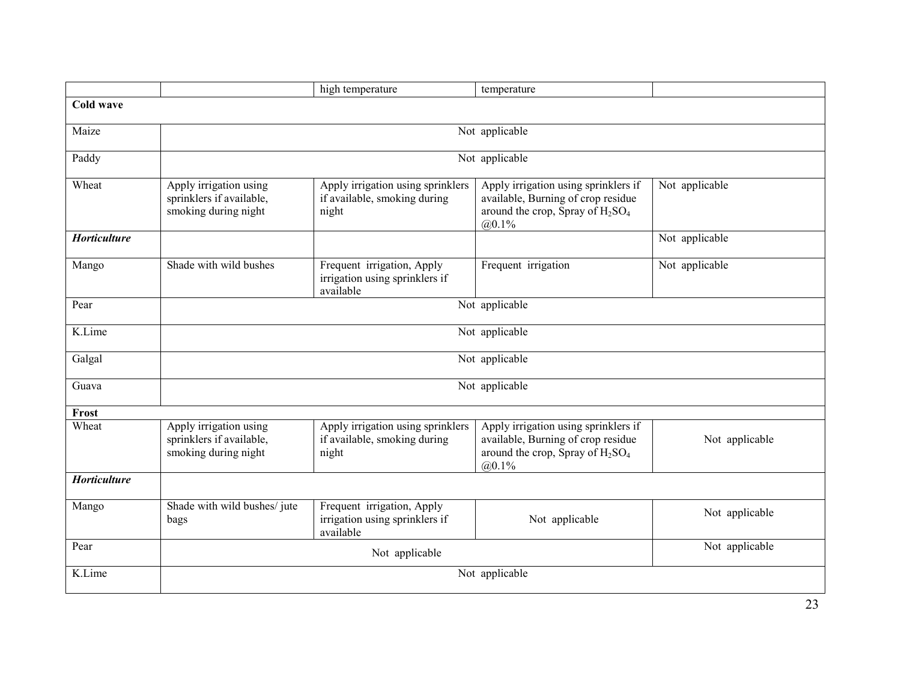|                     |                                                                            | high temperature                                                           | temperature                                                                                                                  |                |  |
|---------------------|----------------------------------------------------------------------------|----------------------------------------------------------------------------|------------------------------------------------------------------------------------------------------------------------------|----------------|--|
| Cold wave           |                                                                            |                                                                            |                                                                                                                              |                |  |
| Maize               | Not applicable                                                             |                                                                            |                                                                                                                              |                |  |
| Paddy               |                                                                            |                                                                            | Not applicable                                                                                                               |                |  |
| Wheat               | Apply irrigation using<br>sprinklers if available,<br>smoking during night | Apply irrigation using sprinklers<br>if available, smoking during<br>night | Apply irrigation using sprinklers if<br>available, Burning of crop residue<br>around the crop, Spray of $H_2SO_4$<br>(a)0.1% | Not applicable |  |
| <b>Horticulture</b> |                                                                            |                                                                            |                                                                                                                              | Not applicable |  |
| Mango               | Shade with wild bushes                                                     | Frequent irrigation, Apply<br>irrigation using sprinklers if<br>available  | Frequent irrigation                                                                                                          | Not applicable |  |
| Pear                | Not applicable                                                             |                                                                            |                                                                                                                              |                |  |
| K.Lime              | Not applicable                                                             |                                                                            |                                                                                                                              |                |  |
| Galgal              | Not applicable                                                             |                                                                            |                                                                                                                              |                |  |
| Guava               | Not applicable                                                             |                                                                            |                                                                                                                              |                |  |
| Frost               |                                                                            |                                                                            |                                                                                                                              |                |  |
| Wheat               | Apply irrigation using<br>sprinklers if available,<br>smoking during night | Apply irrigation using sprinklers<br>if available, smoking during<br>night | Apply irrigation using sprinklers if<br>available, Burning of crop residue<br>around the crop, Spray of $H_2SO_4$<br>(a)0.1% | Not applicable |  |
| <b>Horticulture</b> |                                                                            |                                                                            |                                                                                                                              |                |  |
| Mango               | Shade with wild bushes/jute<br>bags                                        | Frequent irrigation, Apply<br>irrigation using sprinklers if<br>available  | Not applicable                                                                                                               | Not applicable |  |
| Pear                |                                                                            | Not applicable                                                             |                                                                                                                              | Not applicable |  |
| K.Lime              | Not applicable                                                             |                                                                            |                                                                                                                              |                |  |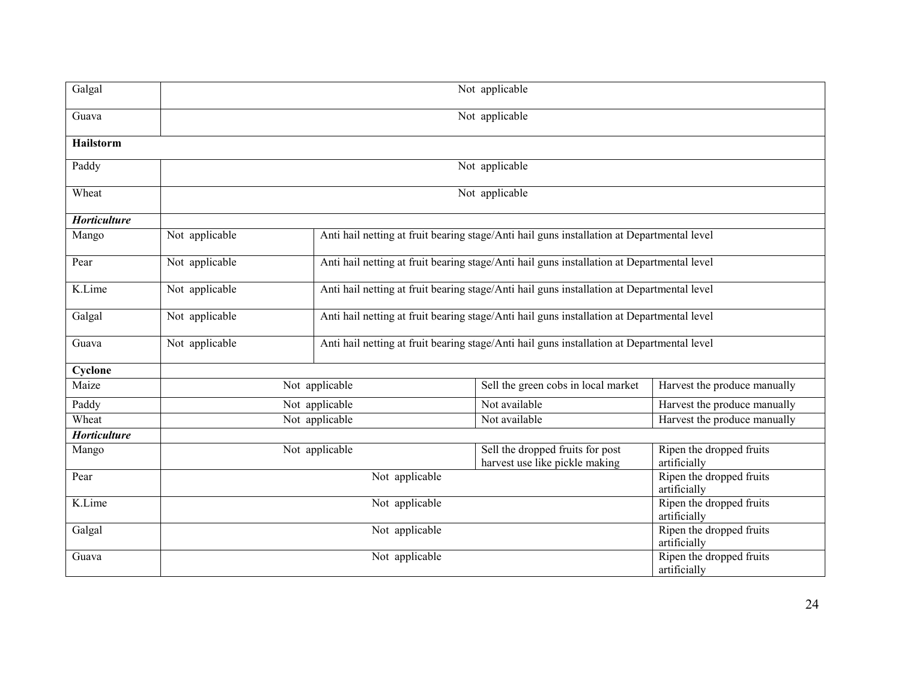| Galgal           |                                                                                                              | Not applicable                                                                             |                                                                    |                                          |  |  |
|------------------|--------------------------------------------------------------------------------------------------------------|--------------------------------------------------------------------------------------------|--------------------------------------------------------------------|------------------------------------------|--|--|
| Guava            |                                                                                                              | Not applicable                                                                             |                                                                    |                                          |  |  |
| <b>Hailstorm</b> |                                                                                                              |                                                                                            |                                                                    |                                          |  |  |
| Paddy            |                                                                                                              |                                                                                            | Not applicable                                                     |                                          |  |  |
| Wheat            |                                                                                                              |                                                                                            | Not applicable                                                     |                                          |  |  |
| Horticulture     |                                                                                                              |                                                                                            |                                                                    |                                          |  |  |
| Mango            | Not applicable                                                                                               | Anti hail netting at fruit bearing stage/Anti hail guns installation at Departmental level |                                                                    |                                          |  |  |
| Pear             | Not applicable<br>Anti hail netting at fruit bearing stage/Anti hail guns installation at Departmental level |                                                                                            |                                                                    |                                          |  |  |
| K.Lime           | Not applicable<br>Anti hail netting at fruit bearing stage/Anti hail guns installation at Departmental level |                                                                                            |                                                                    |                                          |  |  |
| Galgal           | Not applicable<br>Anti hail netting at fruit bearing stage/Anti hail guns installation at Departmental level |                                                                                            |                                                                    |                                          |  |  |
| Guava            | Not applicable                                                                                               | Anti hail netting at fruit bearing stage/Anti hail guns installation at Departmental level |                                                                    |                                          |  |  |
| Cyclone          |                                                                                                              |                                                                                            |                                                                    |                                          |  |  |
| Maize            |                                                                                                              | Not applicable                                                                             | Sell the green cobs in local market                                | Harvest the produce manually             |  |  |
| Paddy            |                                                                                                              | Not applicable                                                                             | Not available                                                      | Harvest the produce manually             |  |  |
| Wheat            |                                                                                                              | Not applicable                                                                             | Not available                                                      | Harvest the produce manually             |  |  |
| Horticulture     |                                                                                                              |                                                                                            |                                                                    |                                          |  |  |
| Mango            |                                                                                                              | Not applicable                                                                             | Sell the dropped fruits for post<br>harvest use like pickle making | Ripen the dropped fruits<br>artificially |  |  |
| Pear             | Not applicable                                                                                               |                                                                                            |                                                                    | Ripen the dropped fruits<br>artificially |  |  |
| K.Lime           | Not applicable                                                                                               |                                                                                            |                                                                    | Ripen the dropped fruits<br>artificially |  |  |
| Galgal           |                                                                                                              | Not applicable                                                                             |                                                                    |                                          |  |  |
| Guava            |                                                                                                              | Not applicable                                                                             |                                                                    |                                          |  |  |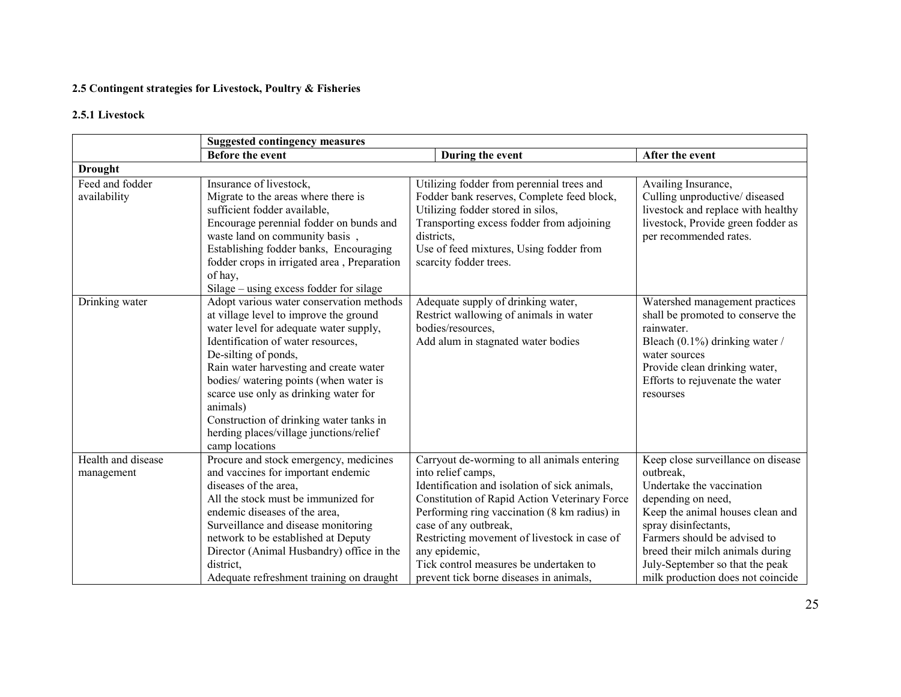#### 2.5 Contingent strategies for Livestock, Poultry & Fisheries

#### 2.5.1 Livestock

|                    | <b>Suggested contingency measures</b>       |                                               |                                    |  |  |
|--------------------|---------------------------------------------|-----------------------------------------------|------------------------------------|--|--|
|                    | <b>Before the event</b>                     | During the event                              | After the event                    |  |  |
| <b>Drought</b>     |                                             |                                               |                                    |  |  |
| Feed and fodder    | Insurance of livestock,                     | Utilizing fodder from perennial trees and     | Availing Insurance,                |  |  |
| availability       | Migrate to the areas where there is         | Fodder bank reserves, Complete feed block,    | Culling unproductive/ diseased     |  |  |
|                    | sufficient fodder available,                | Utilizing fodder stored in silos,             | livestock and replace with healthy |  |  |
|                    | Encourage perennial fodder on bunds and     | Transporting excess fodder from adjoining     | livestock, Provide green fodder as |  |  |
|                    | waste land on community basis,              | districts,                                    | per recommended rates.             |  |  |
|                    | Establishing fodder banks, Encouraging      | Use of feed mixtures, Using fodder from       |                                    |  |  |
|                    | fodder crops in irrigated area, Preparation | scarcity fodder trees.                        |                                    |  |  |
|                    | of hay,                                     |                                               |                                    |  |  |
|                    | Silage - using excess fodder for silage     |                                               |                                    |  |  |
| Drinking water     | Adopt various water conservation methods    | Adequate supply of drinking water,            | Watershed management practices     |  |  |
|                    | at village level to improve the ground      | Restrict wallowing of animals in water        | shall be promoted to conserve the  |  |  |
|                    | water level for adequate water supply,      | bodies/resources,                             | rainwater.                         |  |  |
|                    | Identification of water resources,          | Add alum in stagnated water bodies            | Bleach (0.1%) drinking water /     |  |  |
|                    | De-silting of ponds,                        |                                               | water sources                      |  |  |
|                    | Rain water harvesting and create water      |                                               | Provide clean drinking water,      |  |  |
|                    | bodies/ watering points (when water is      |                                               | Efforts to rejuvenate the water    |  |  |
|                    | scarce use only as drinking water for       |                                               | resourses                          |  |  |
|                    | animals)                                    |                                               |                                    |  |  |
|                    | Construction of drinking water tanks in     |                                               |                                    |  |  |
|                    | herding places/village junctions/relief     |                                               |                                    |  |  |
|                    | camp locations                              |                                               |                                    |  |  |
| Health and disease | Procure and stock emergency, medicines      | Carryout de-worming to all animals entering   | Keep close surveillance on disease |  |  |
| management         | and vaccines for important endemic          | into relief camps,                            | outbreak.                          |  |  |
|                    | diseases of the area,                       | Identification and isolation of sick animals, | Undertake the vaccination          |  |  |
|                    | All the stock must be immunized for         | Constitution of Rapid Action Veterinary Force | depending on need,                 |  |  |
|                    | endemic diseases of the area,               | Performing ring vaccination (8 km radius) in  | Keep the animal houses clean and   |  |  |
|                    | Surveillance and disease monitoring         | case of any outbreak,                         | spray disinfectants,               |  |  |
|                    | network to be established at Deputy         | Restricting movement of livestock in case of  | Farmers should be advised to       |  |  |
|                    | Director (Animal Husbandry) office in the   | any epidemic,                                 | breed their milch animals during   |  |  |
|                    | district,                                   | Tick control measures be undertaken to        | July-September so that the peak    |  |  |
|                    | Adequate refreshment training on draught    | prevent tick borne diseases in animals,       | milk production does not coincide  |  |  |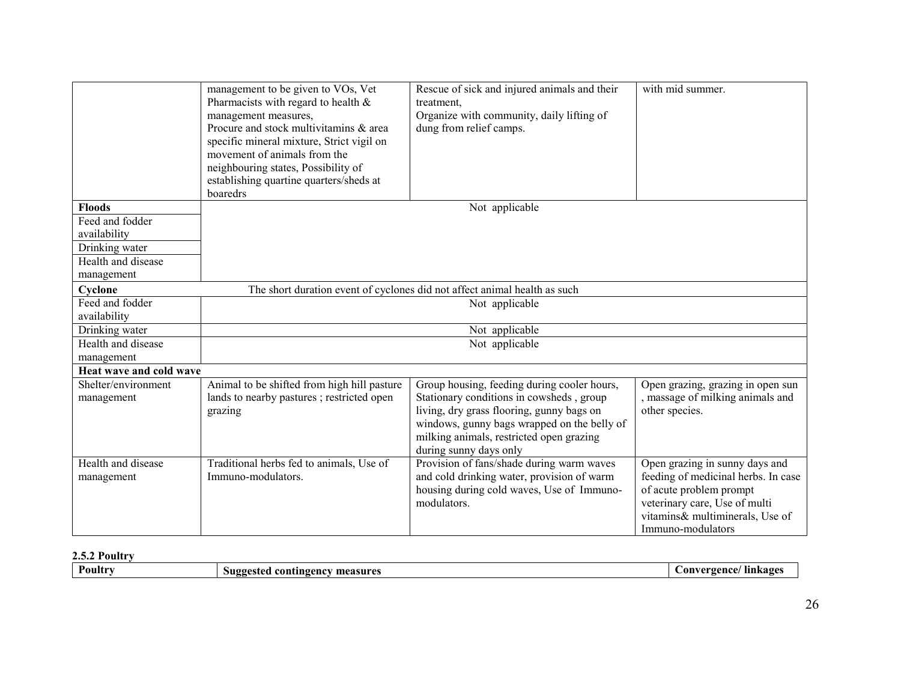|                                       | management to be given to VOs, Vet<br>Pharmacists with regard to health $\&$<br>management measures,<br>Procure and stock multivitamins & area<br>specific mineral mixture, Strict vigil on<br>movement of animals from the<br>neighbouring states, Possibility of<br>establishing quartine quarters/sheds at<br>boaredrs | Rescue of sick and injured animals and their<br>treatment,<br>Organize with community, daily lifting of<br>dung from relief camps. | with mid summer.                                   |  |  |
|---------------------------------------|---------------------------------------------------------------------------------------------------------------------------------------------------------------------------------------------------------------------------------------------------------------------------------------------------------------------------|------------------------------------------------------------------------------------------------------------------------------------|----------------------------------------------------|--|--|
| <b>Floods</b>                         |                                                                                                                                                                                                                                                                                                                           | Not applicable                                                                                                                     |                                                    |  |  |
| Feed and fodder                       |                                                                                                                                                                                                                                                                                                                           |                                                                                                                                    |                                                    |  |  |
| availability                          |                                                                                                                                                                                                                                                                                                                           |                                                                                                                                    |                                                    |  |  |
| Drinking water                        |                                                                                                                                                                                                                                                                                                                           |                                                                                                                                    |                                                    |  |  |
| Health and disease                    |                                                                                                                                                                                                                                                                                                                           |                                                                                                                                    |                                                    |  |  |
| management                            |                                                                                                                                                                                                                                                                                                                           |                                                                                                                                    |                                                    |  |  |
| Cyclone                               | The short duration event of cyclones did not affect animal health as such                                                                                                                                                                                                                                                 |                                                                                                                                    |                                                    |  |  |
| Feed and fodder                       | Not applicable                                                                                                                                                                                                                                                                                                            |                                                                                                                                    |                                                    |  |  |
| availability                          |                                                                                                                                                                                                                                                                                                                           |                                                                                                                                    |                                                    |  |  |
| Drinking water                        |                                                                                                                                                                                                                                                                                                                           | Not applicable                                                                                                                     |                                                    |  |  |
| Health and disease                    |                                                                                                                                                                                                                                                                                                                           | Not applicable                                                                                                                     |                                                    |  |  |
| management<br>Heat wave and cold wave |                                                                                                                                                                                                                                                                                                                           |                                                                                                                                    |                                                    |  |  |
|                                       |                                                                                                                                                                                                                                                                                                                           |                                                                                                                                    |                                                    |  |  |
| Shelter/environment                   | Animal to be shifted from high hill pasture                                                                                                                                                                                                                                                                               | Group housing, feeding during cooler hours,<br>Stationary conditions in cowsheds, group                                            | Open grazing, grazing in open sun                  |  |  |
| management                            | lands to nearby pastures ; restricted open<br>grazing                                                                                                                                                                                                                                                                     | living, dry grass flooring, gunny bags on                                                                                          | , massage of milking animals and<br>other species. |  |  |
|                                       |                                                                                                                                                                                                                                                                                                                           | windows, gunny bags wrapped on the belly of                                                                                        |                                                    |  |  |
|                                       |                                                                                                                                                                                                                                                                                                                           | milking animals, restricted open grazing                                                                                           |                                                    |  |  |
|                                       |                                                                                                                                                                                                                                                                                                                           | during sunny days only                                                                                                             |                                                    |  |  |
| Health and disease                    | Traditional herbs fed to animals, Use of                                                                                                                                                                                                                                                                                  | Provision of fans/shade during warm waves                                                                                          | Open grazing in sunny days and                     |  |  |
| management                            | Immuno-modulators.                                                                                                                                                                                                                                                                                                        | and cold drinking water, provision of warm                                                                                         | feeding of medicinal herbs. In case                |  |  |
|                                       |                                                                                                                                                                                                                                                                                                                           | housing during cold waves, Use of Immuno-                                                                                          | of acute problem prompt                            |  |  |
|                                       |                                                                                                                                                                                                                                                                                                                           | modulators.                                                                                                                        | veterinary care, Use of multi                      |  |  |
|                                       |                                                                                                                                                                                                                                                                                                                           |                                                                                                                                    | vitamins& multiminerals, Use of                    |  |  |
|                                       |                                                                                                                                                                                                                                                                                                                           |                                                                                                                                    | Immuno-modulators                                  |  |  |

# 2.5.2 Poultry

| Poultry | measure<br>Suggested<br>mngency<br>cont. | <b>linkages</b><br>'Argancal<br>on<br>- 11 |
|---------|------------------------------------------|--------------------------------------------|
|---------|------------------------------------------|--------------------------------------------|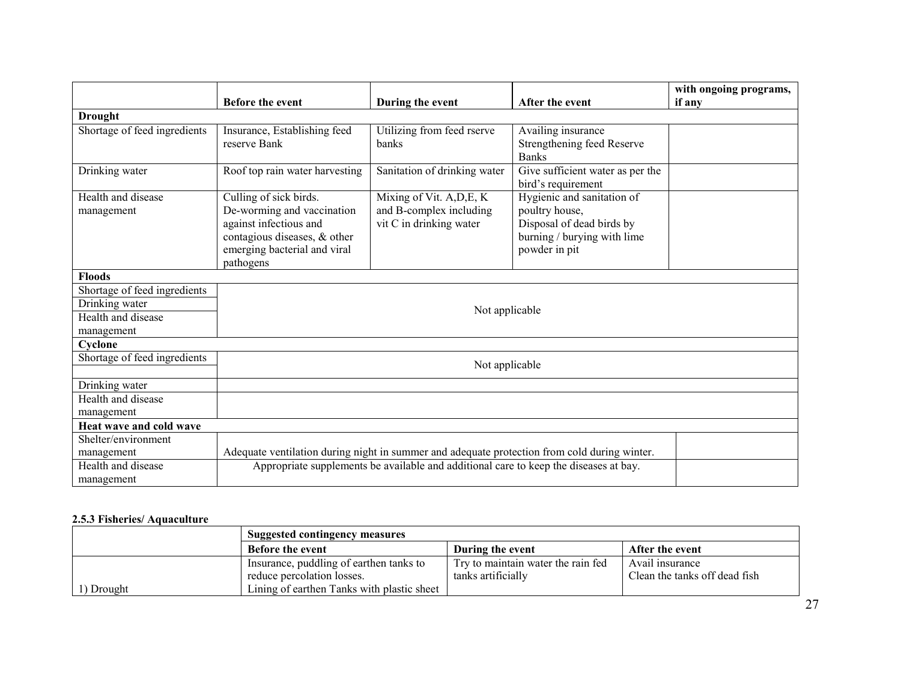|                              |                                                                                              |                                                                                       |                                  | with ongoing programs, |
|------------------------------|----------------------------------------------------------------------------------------------|---------------------------------------------------------------------------------------|----------------------------------|------------------------|
|                              | <b>Before the event</b>                                                                      | During the event                                                                      | After the event                  | if any                 |
| <b>Drought</b>               |                                                                                              |                                                                                       |                                  |                        |
| Shortage of feed ingredients | Insurance, Establishing feed                                                                 | Utilizing from feed rserve                                                            | Availing insurance               |                        |
|                              | reserve Bank                                                                                 | banks                                                                                 | Strengthening feed Reserve       |                        |
|                              |                                                                                              |                                                                                       | <b>Banks</b>                     |                        |
| Drinking water               | Roof top rain water harvesting                                                               | Sanitation of drinking water                                                          | Give sufficient water as per the |                        |
|                              |                                                                                              |                                                                                       | bird's requirement               |                        |
| Health and disease           | Culling of sick birds.                                                                       | Mixing of Vit. A, D, E, K                                                             | Hygienic and sanitation of       |                        |
| management                   | De-worming and vaccination                                                                   | and B-complex including                                                               | poultry house,                   |                        |
|                              | against infectious and                                                                       | vit C in drinking water                                                               | Disposal of dead birds by        |                        |
|                              | contagious diseases, & other                                                                 |                                                                                       | burning / burying with lime      |                        |
|                              | emerging bacterial and viral                                                                 |                                                                                       | powder in pit                    |                        |
|                              | pathogens                                                                                    |                                                                                       |                                  |                        |
| <b>Floods</b>                |                                                                                              |                                                                                       |                                  |                        |
| Shortage of feed ingredients |                                                                                              |                                                                                       |                                  |                        |
| Drinking water               |                                                                                              | Not applicable                                                                        |                                  |                        |
| Health and disease           |                                                                                              |                                                                                       |                                  |                        |
| management                   |                                                                                              |                                                                                       |                                  |                        |
| Cyclone                      |                                                                                              |                                                                                       |                                  |                        |
| Shortage of feed ingredients |                                                                                              | Not applicable                                                                        |                                  |                        |
|                              |                                                                                              |                                                                                       |                                  |                        |
| Drinking water               |                                                                                              |                                                                                       |                                  |                        |
| Health and disease           |                                                                                              |                                                                                       |                                  |                        |
| management                   |                                                                                              |                                                                                       |                                  |                        |
| Heat wave and cold wave      |                                                                                              |                                                                                       |                                  |                        |
| Shelter/environment          |                                                                                              |                                                                                       |                                  |                        |
| management                   | Adequate ventilation during night in summer and adequate protection from cold during winter. |                                                                                       |                                  |                        |
| Health and disease           |                                                                                              | Appropriate supplements be available and additional care to keep the diseases at bay. |                                  |                        |
| management                   |                                                                                              |                                                                                       |                                  |                        |

# 2.5.3 Fisheries/ Aquaculture

|            | <b>Suggested contingency measures</b>      |                                    |                               |  |  |
|------------|--------------------------------------------|------------------------------------|-------------------------------|--|--|
|            | <b>Before the event</b>                    | During the event                   | After the event               |  |  |
|            | Insurance, puddling of earthen tanks to    | Try to maintain water the rain fed | Avail insurance               |  |  |
|            | reduce percolation losses.                 | tanks artificially                 | Clean the tanks off dead fish |  |  |
| 1) Drought | Lining of earthen Tanks with plastic sheet |                                    |                               |  |  |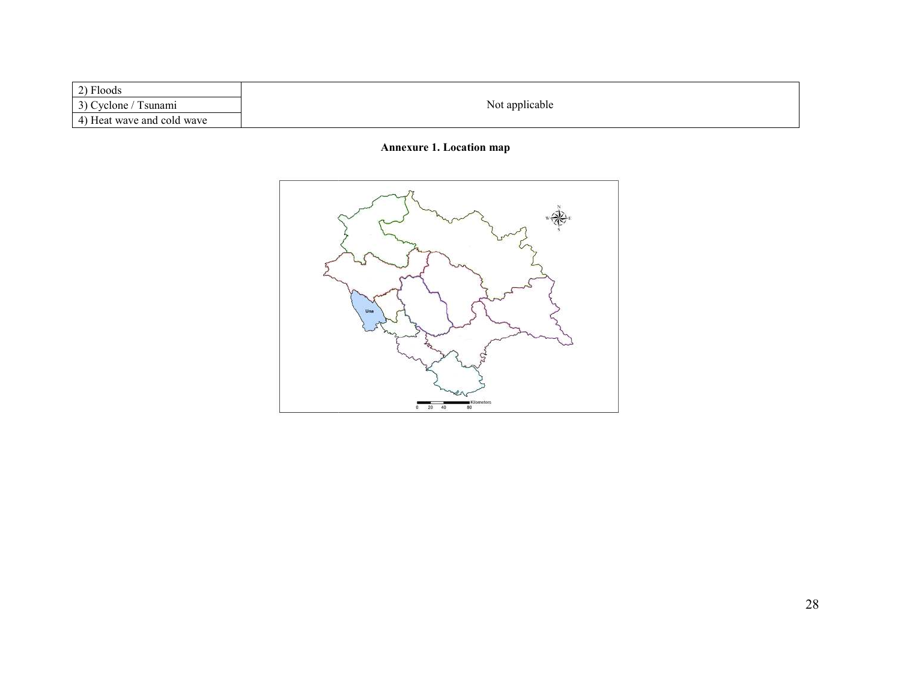| $\gamma$ Floods                         |                |
|-----------------------------------------|----------------|
| $3)$ $\Gamma$<br>vclone<br>'sunami<br>╯ | Not applicable |
| 4) Heat wave and cold wave              |                |

# Annexure 1. Location map

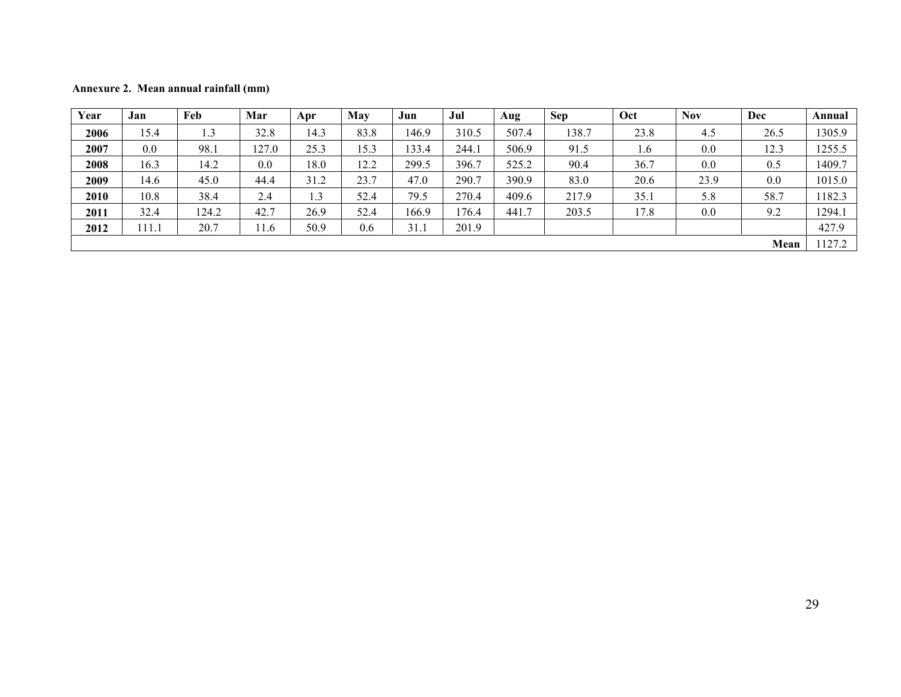Annexure 2. Mean annual rainfall (mm)

| Year | Jan   | Feb   | Mar  | Apr  | <b>May</b> | Jun   | Jul   | Aug   | <b>Sep</b> | Oct  | <b>Nov</b> | Dec  | Annual |
|------|-------|-------|------|------|------------|-------|-------|-------|------------|------|------------|------|--------|
| 2006 | 15.4  | 1.3   | 32.8 | 14.3 | 83.8       | 146.9 | 310.5 | 507.4 | 138.7      | 23.8 | 4.5        | 26.5 | 1305.9 |
| 2007 | 0.0   | 98.1  | 27.0 | 25.3 | 15.3       | 133.4 | 244.1 | 506.9 | 91.5       | 1.6  | 0.0        | 12.3 | 1255.5 |
| 2008 | 16.3  | 14.2  | 0.0  | 18.0 | 12.2       | 299.5 | 396.7 | 525.2 | 90.4       | 36.7 | 0.0        | 0.5  | 1409.7 |
| 2009 | 14.6  | 45.0  | 44.4 | 31.2 | 23.7       | 47.0  | 290.7 | 390.9 | 83.0       | 20.6 | 23.9       | 0.0  | 1015.0 |
| 2010 | 10.8  | 38.4  | 2.4  | 1.3  | 52.4       | 79.5  | 270.4 | 409.6 | 217.9      | 35.1 | 5.8        | 58.7 | 1182.3 |
| 2011 | 32.4  | 124.2 | 42.7 | 26.9 | 52.4       | 166.9 | 176.4 | 441.7 | 203.5      | 17.8 | 0.0        | 9.2  | 1294.1 |
| 2012 | 111.1 | 20.7  | 11.6 | 50.9 | 0.6        | 31.1  | 201.9 |       |            |      |            |      | 427.9  |
| Mean |       |       |      |      |            |       |       |       | 127.2      |      |            |      |        |